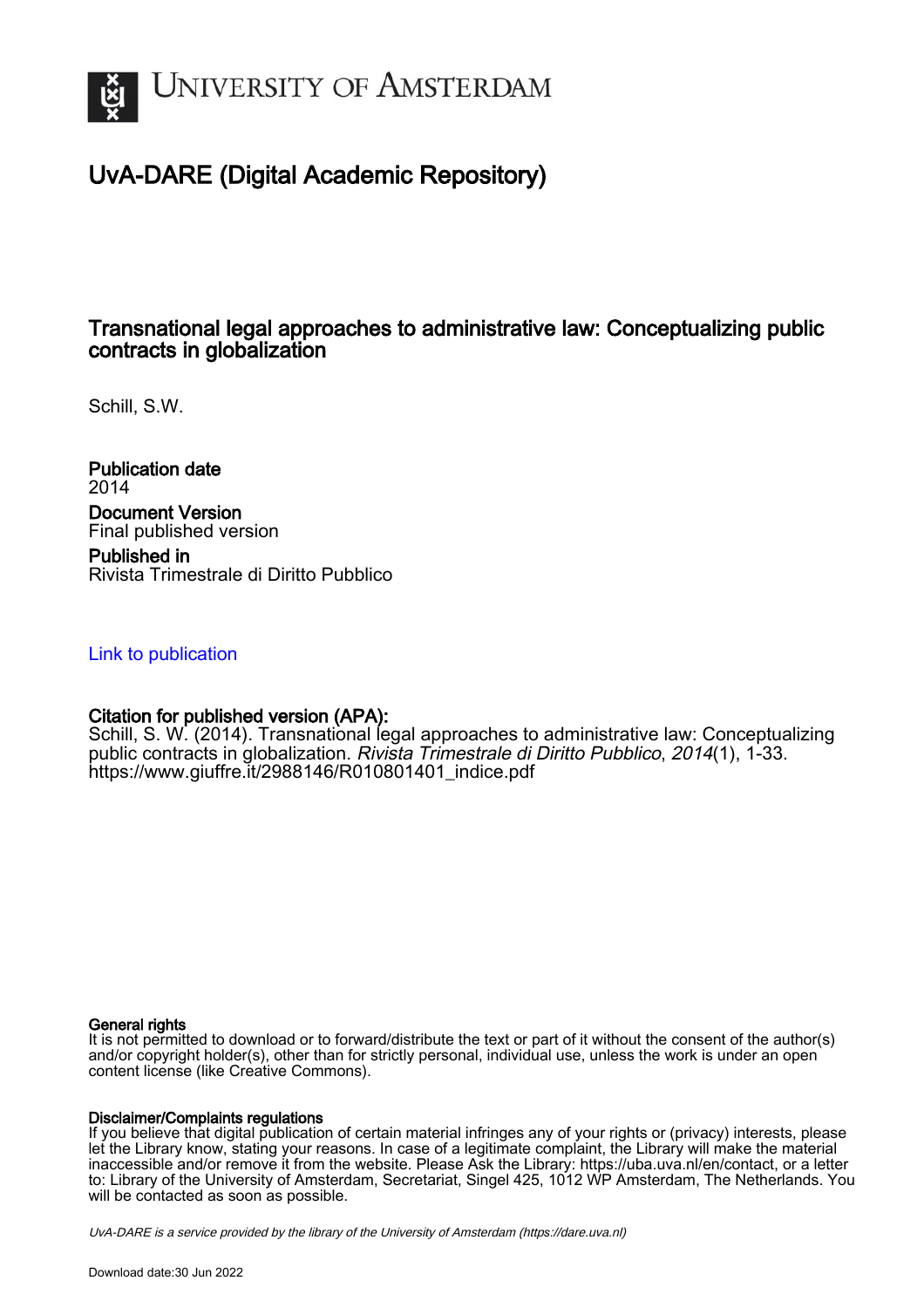

# UvA-DARE (Digital Academic Repository)

## Transnational legal approaches to administrative law: Conceptualizing public contracts in globalization

Schill, S.W.

Publication date 2014 Document Version Final published version

Published in Rivista Trimestrale di Diritto Pubblico

## [Link to publication](https://dare.uva.nl/personal/pure/en/publications/transnational-legal-approaches-to-administrative-law-conceptualizing-public-contracts-in-globalization(b3ff675a-802b-434a-a417-6c5cd78ab419).html)

## Citation for published version (APA):

Schill, S. W. (2014). Transnational legal approaches to administrative law: Conceptualizing public contracts in globalization. Rivista Trimestrale di Diritto Pubblico, 2014(1), 1-33. [https://www.giuffre.it/2988146/R010801401\\_indice.pdf](https://www.giuffre.it/2988146/R010801401_indice.pdf)

### General rights

It is not permitted to download or to forward/distribute the text or part of it without the consent of the author(s) and/or copyright holder(s), other than for strictly personal, individual use, unless the work is under an open content license (like Creative Commons).

### Disclaimer/Complaints regulations

If you believe that digital publication of certain material infringes any of your rights or (privacy) interests, please let the Library know, stating your reasons. In case of a legitimate complaint, the Library will make the material inaccessible and/or remove it from the website. Please Ask the Library: https://uba.uva.nl/en/contact, or a letter to: Library of the University of Amsterdam, Secretariat, Singel 425, 1012 WP Amsterdam, The Netherlands. You will be contacted as soon as possible.

UvA-DARE is a service provided by the library of the University of Amsterdam (http*s*://dare.uva.nl)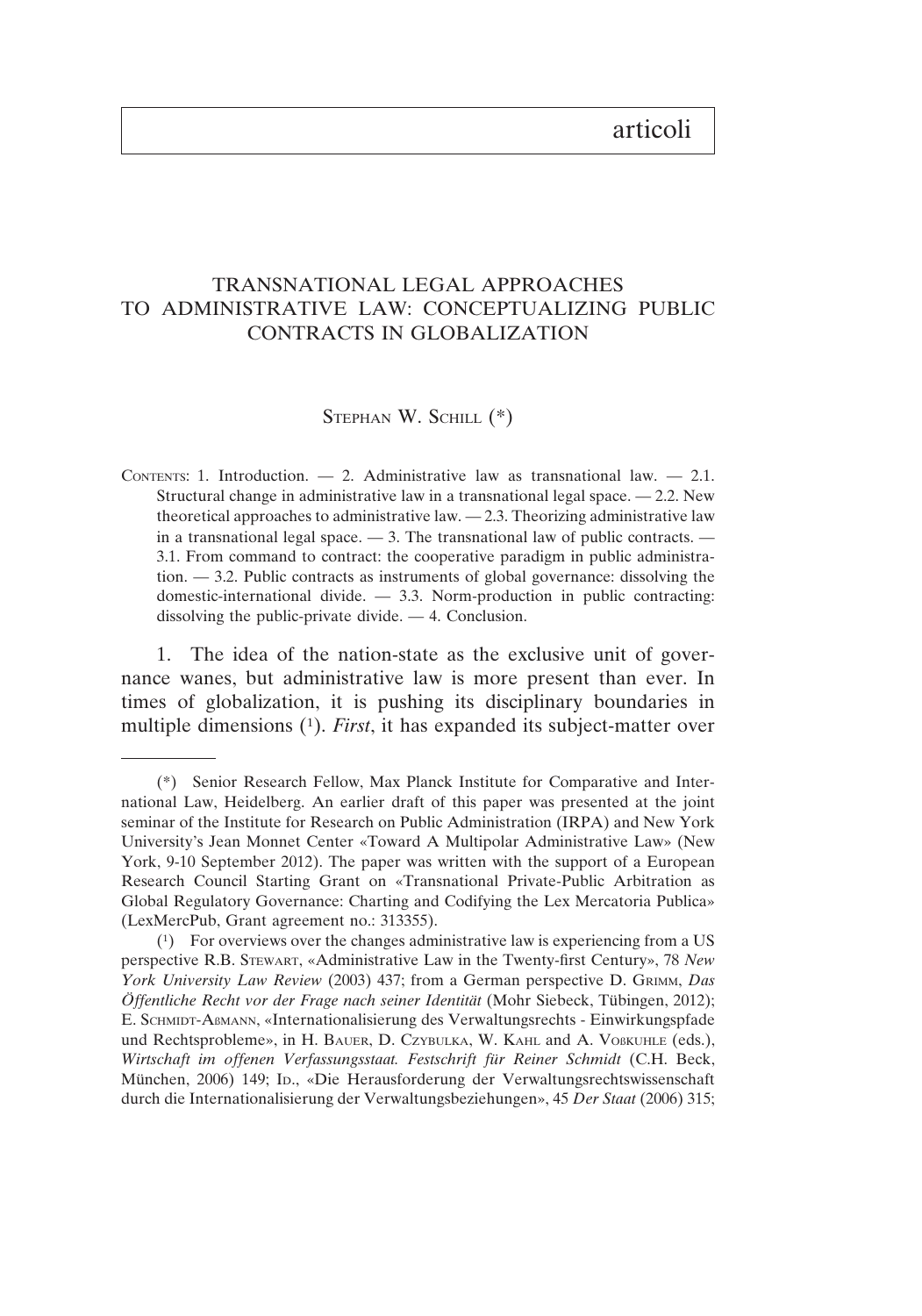## articoli

## TRANSNATIONAL LEGAL APPROACHES TO ADMINISTRATIVE LAW: CONCEPTUALIZING PUBLIC CONTRACTS IN GLOBALIZATION

#### STEPHAN W. SCHILL (\*)

CONTENTS: 1. Introduction.  $-2$ . Administrative law as transnational law.  $-2.1$ . Structural change in administrative law in a transnational legal space.  $-2.2$ . New theoretical approaches to administrative law. — 2.3. Theorizing administrative law in a transnational legal space.  $-3$ . The transnational law of public contracts.  $-$ 3.1. From command to contract: the cooperative paradigm in public administration. — 3.2. Public contracts as instruments of global governance: dissolving the domestic-international divide. — 3.3. Norm-production in public contracting: dissolving the public-private divide. — 4. Conclusion.

1. The idea of the nation-state as the exclusive unit of governance wanes, but administrative law is more present than ever. In times of globalization, it is pushing its disciplinary boundaries in multiple dimensions (1). *First*, it has expanded its subject-matter over

<sup>(\*)</sup> Senior Research Fellow, Max Planck Institute for Comparative and International Law, Heidelberg. An earlier draft of this paper was presented at the joint seminar of the Institute for Research on Public Administration (IRPA) and New York University's Jean Monnet Center «Toward A Multipolar Administrative Law» (New York, 9-10 September 2012). The paper was written with the support of a European Research Council Starting Grant on «Transnational Private-Public Arbitration as Global Regulatory Governance: Charting and Codifying the Lex Mercatoria Publica» (LexMercPub, Grant agreement no.: 313355).

<sup>(1)</sup> For overviews over the changes administrative law is experiencing from a US perspective R.B. STEWART, «Administrative Law in the Twenty-first Century», 78 *New York University Law Review* (2003) 437; from a German perspective D. GRIMM, *Das Öffentliche Recht vor der Frage nach seiner Identität* (Mohr Siebeck, Tübingen, 2012); E. SCHMIDT-AßMANN, «Internationalisierung des Verwaltungsrechts - Einwirkungspfade und Rechtsprobleme», in H. BAUER, D. CZYBULKA, W. KAHL and A. VOßKUHLE (eds.), *Wirtschaft im offenen Verfassungsstaat. Festschrift für Reiner Schmidt* (C.H. Beck, München, 2006) 149; ID., «Die Herausforderung der Verwaltungsrechtswissenschaft durch die Internationalisierung der Verwaltungsbeziehungen», 45 *Der Staat* (2006) 315;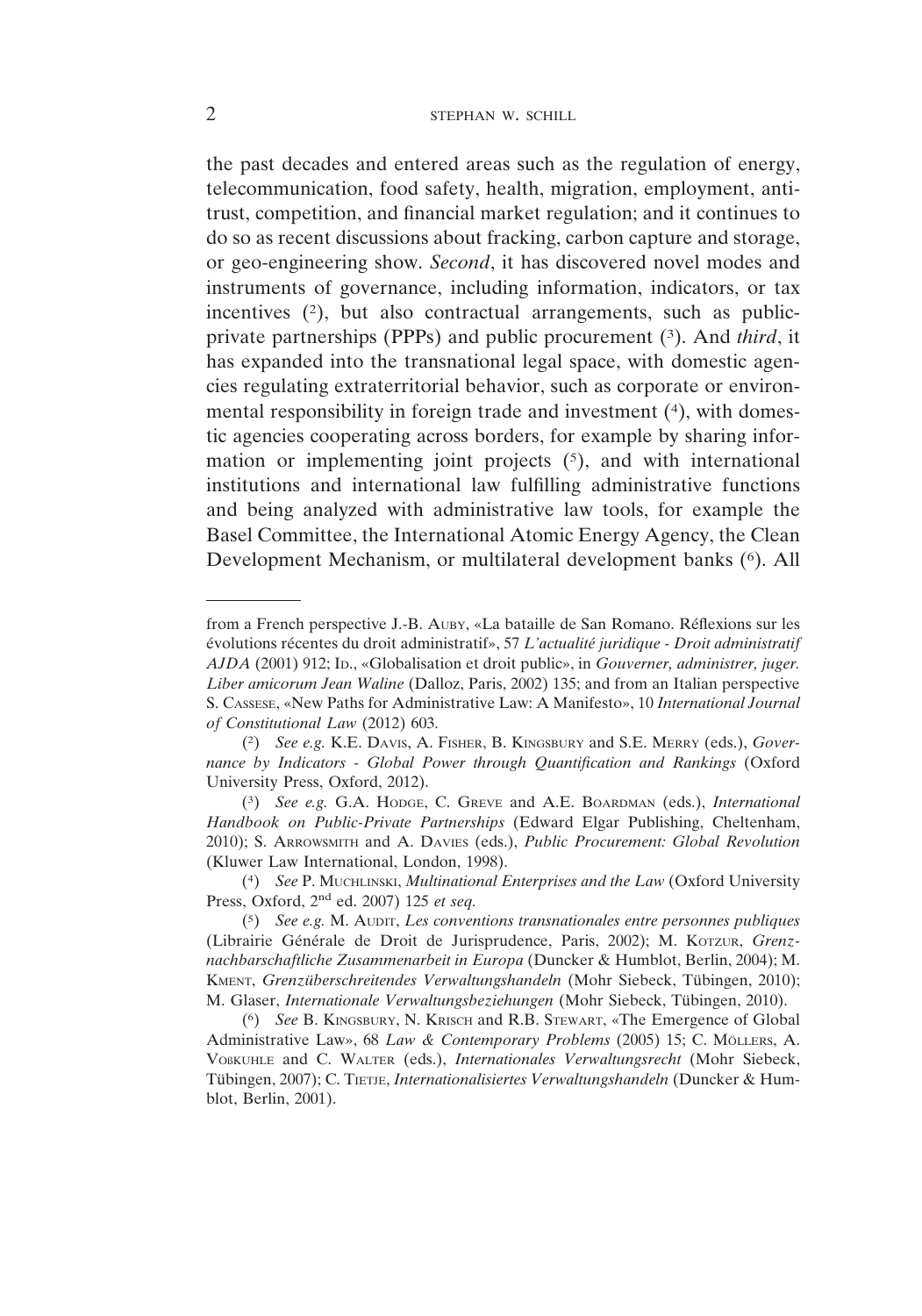the past decades and entered areas such as the regulation of energy, telecommunication, food safety, health, migration, employment, antitrust, competition, and financial market regulation; and it continues to do so as recent discussions about fracking, carbon capture and storage, or geo-engineering show. *Second*, it has discovered novel modes and instruments of governance, including information, indicators, or tax incentives  $(2)$ , but also contractual arrangements, such as publicprivate partnerships (PPPs) and public procurement (3). And *third*, it has expanded into the transnational legal space, with domestic agencies regulating extraterritorial behavior, such as corporate or environmental responsibility in foreign trade and investment (4), with domestic agencies cooperating across borders, for example by sharing information or implementing joint projects (5), and with international institutions and international law fulfilling administrative functions and being analyzed with administrative law tools, for example the Basel Committee, the International Atomic Energy Agency, the Clean Development Mechanism, or multilateral development banks (6). All

from a French perspective J.-B. AUBY, «La bataille de San Romano. Réflexions sur les évolutions récentes du droit administratif», 57 *L'actualité juridique - Droit administratif AJDA* (2001) 912; ID., «Globalisation et droit public», in *Gouverner, administrer, juger. Liber amicorum Jean Waline* (Dalloz, Paris, 2002) 135; and from an Italian perspective S. CASSESE, «New Paths for Administrative Law: A Manifesto», 10 *International Journal of Constitutional Law* (2012) 603.

<sup>(2)</sup> *See e.g.* K.E. DAVIS, A. FISHER, B. KINGSBURY and S.E. MERRY (eds.), *Governance by Indicators - Global Power through Quantification and Rankings* (Oxford University Press, Oxford, 2012).

<sup>(3)</sup> *See e.g.* G.A. HODGE, C. GREVE and A.E. BOARDMAN (eds.), *International Handbook on Public-Private Partnerships* (Edward Elgar Publishing, Cheltenham, 2010); S. ARROWSMITH and A. DAVIES (eds.), *Public Procurement: Global Revolution* (Kluwer Law International, London, 1998).

<sup>(4)</sup> *See* P. MUCHLINSKI, *Multinational Enterprises and the Law* (Oxford University Press, Oxford, 2nd ed. 2007) 125 *et seq.*

<sup>(5)</sup> *See e.g.* M. AUDIT, *Les conventions transnationales entre personnes publiques* (Librairie Générale de Droit de Jurisprudence, Paris, 2002); M. KOTZUR, *Grenznachbarschaftliche Zusammenarbeit in Europa* (Duncker & Humblot, Berlin, 2004); M. KMENT, *Grenzüberschreitendes Verwaltungshandeln* (Mohr Siebeck, Tübingen, 2010); M. Glaser, *Internationale Verwaltungsbeziehungen* (Mohr Siebeck, Tübingen, 2010).

<sup>(6)</sup> *See* B. KINGSBURY, N. KRISCH and R.B. STEWART, «The Emergence of Global Administrative Law», 68 *Law & Contemporary Problems* (2005) 15; C. MÖLLERS, A. VOßKUHLE and C. WALTER (eds.), *Internationales Verwaltungsrecht* (Mohr Siebeck, Tübingen, 2007); C. TIETJE, *Internationalisiertes Verwaltungshandeln* (Duncker & Humblot, Berlin, 2001).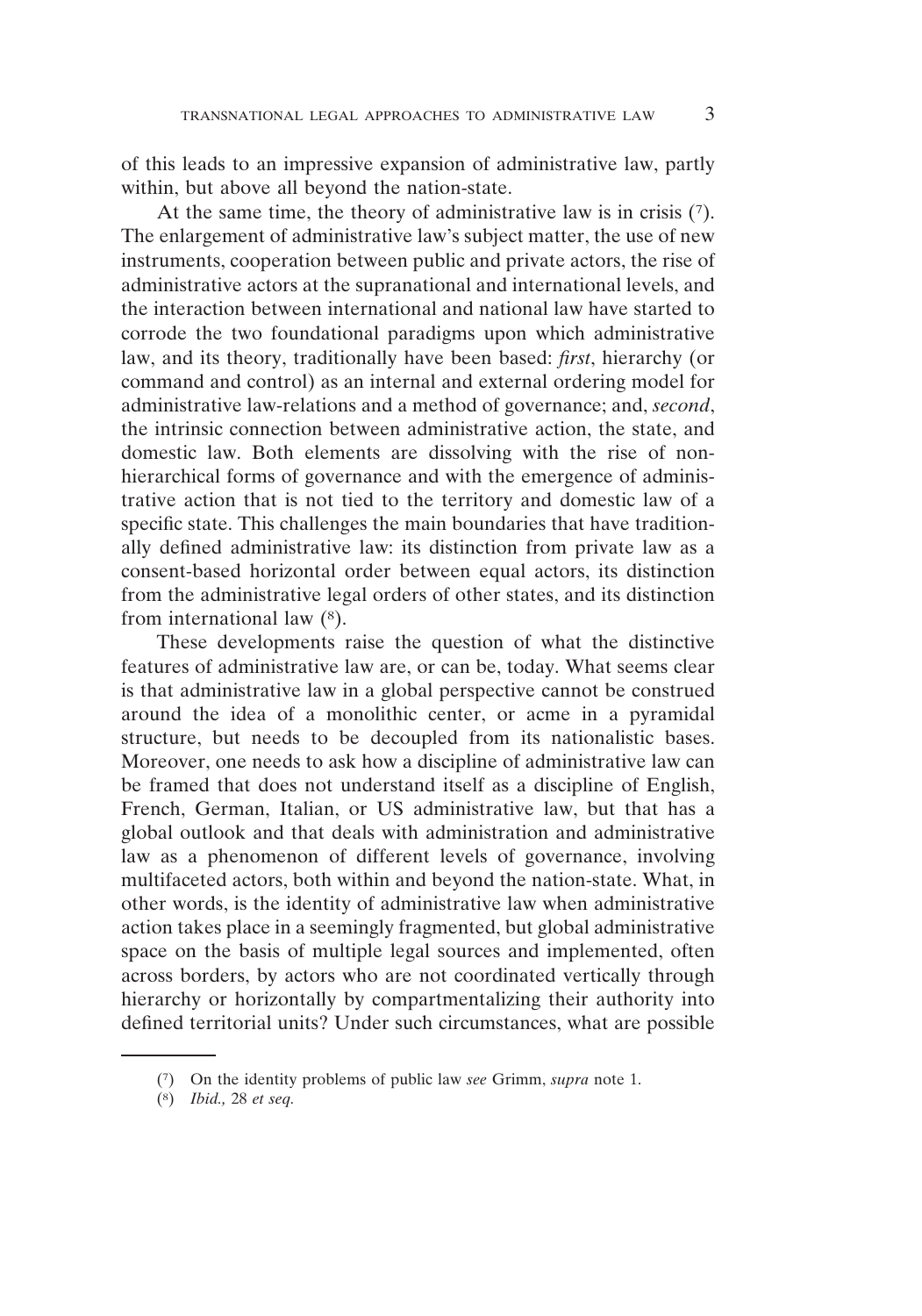of this leads to an impressive expansion of administrative law, partly within, but above all beyond the nation-state.

At the same time, the theory of administrative law is in crisis (7). The enlargement of administrative law's subject matter, the use of new instruments, cooperation between public and private actors, the rise of administrative actors at the supranational and international levels, and the interaction between international and national law have started to corrode the two foundational paradigms upon which administrative law, and its theory, traditionally have been based: *first*, hierarchy (or command and control) as an internal and external ordering model for administrative law-relations and a method of governance; and, *second*, the intrinsic connection between administrative action, the state, and domestic law. Both elements are dissolving with the rise of nonhierarchical forms of governance and with the emergence of administrative action that is not tied to the territory and domestic law of a specific state. This challenges the main boundaries that have traditionally defined administrative law: its distinction from private law as a consent-based horizontal order between equal actors, its distinction from the administrative legal orders of other states, and its distinction from international law (8).

These developments raise the question of what the distinctive features of administrative law are, or can be, today. What seems clear is that administrative law in a global perspective cannot be construed around the idea of a monolithic center, or acme in a pyramidal structure, but needs to be decoupled from its nationalistic bases. Moreover, one needs to ask how a discipline of administrative law can be framed that does not understand itself as a discipline of English, French, German, Italian, or US administrative law, but that has a global outlook and that deals with administration and administrative law as a phenomenon of different levels of governance, involving multifaceted actors, both within and beyond the nation-state. What, in other words, is the identity of administrative law when administrative action takes place in a seemingly fragmented, but global administrative space on the basis of multiple legal sources and implemented, often across borders, by actors who are not coordinated vertically through hierarchy or horizontally by compartmentalizing their authority into defined territorial units? Under such circumstances, what are possible

<sup>(7)</sup> On the identity problems of public law *see* Grimm, *supra* note 1.

<sup>(8)</sup> *Ibid.,* 28 *et seq.*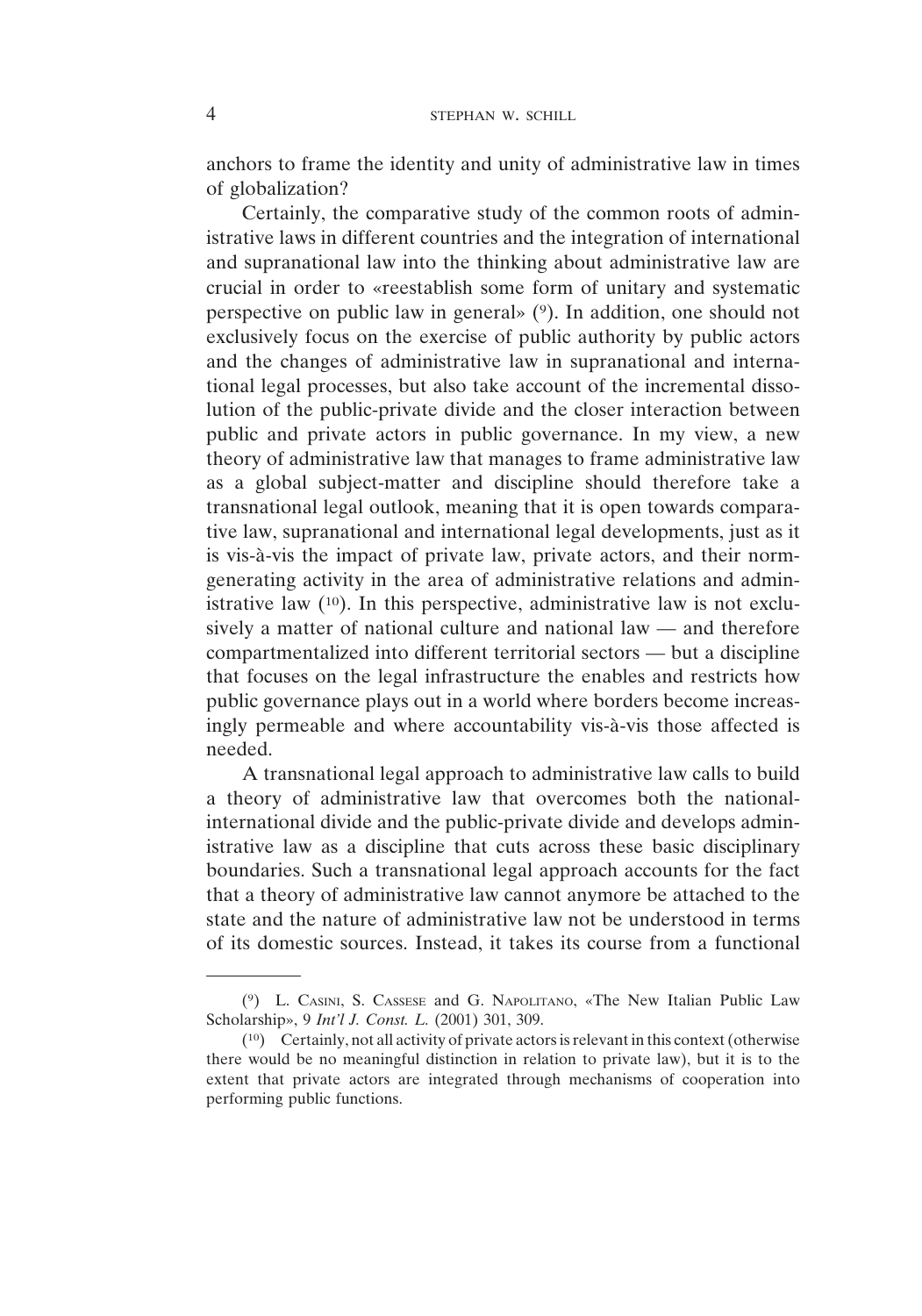anchors to frame the identity and unity of administrative law in times of globalization?

Certainly, the comparative study of the common roots of administrative laws in different countries and the integration of international and supranational law into the thinking about administrative law are crucial in order to «reestablish some form of unitary and systematic perspective on public law in general»  $(9)$ . In addition, one should not exclusively focus on the exercise of public authority by public actors and the changes of administrative law in supranational and international legal processes, but also take account of the incremental dissolution of the public-private divide and the closer interaction between public and private actors in public governance. In my view, a new theory of administrative law that manages to frame administrative law as a global subject-matter and discipline should therefore take a transnational legal outlook, meaning that it is open towards comparative law, supranational and international legal developments, just as it is vis-à-vis the impact of private law, private actors, and their normgenerating activity in the area of administrative relations and administrative law  $(10)$ . In this perspective, administrative law is not exclusively a matter of national culture and national law — and therefore compartmentalized into different territorial sectors — but a discipline that focuses on the legal infrastructure the enables and restricts how public governance plays out in a world where borders become increasingly permeable and where accountability vis-à-vis those affected is needed.

A transnational legal approach to administrative law calls to build a theory of administrative law that overcomes both the nationalinternational divide and the public-private divide and develops administrative law as a discipline that cuts across these basic disciplinary boundaries. Such a transnational legal approach accounts for the fact that a theory of administrative law cannot anymore be attached to the state and the nature of administrative law not be understood in terms of its domestic sources. Instead, it takes its course from a functional

<sup>(9)</sup> L. CASINI, S. CASSESE and G. NAPOLITANO, «The New Italian Public Law Scholarship», 9 *Int'l J. Const. L.* (2001) 301, 309.

<sup>(10)</sup> Certainly, not all activity of private actors is relevant in this context (otherwise there would be no meaningful distinction in relation to private law), but it is to the extent that private actors are integrated through mechanisms of cooperation into performing public functions.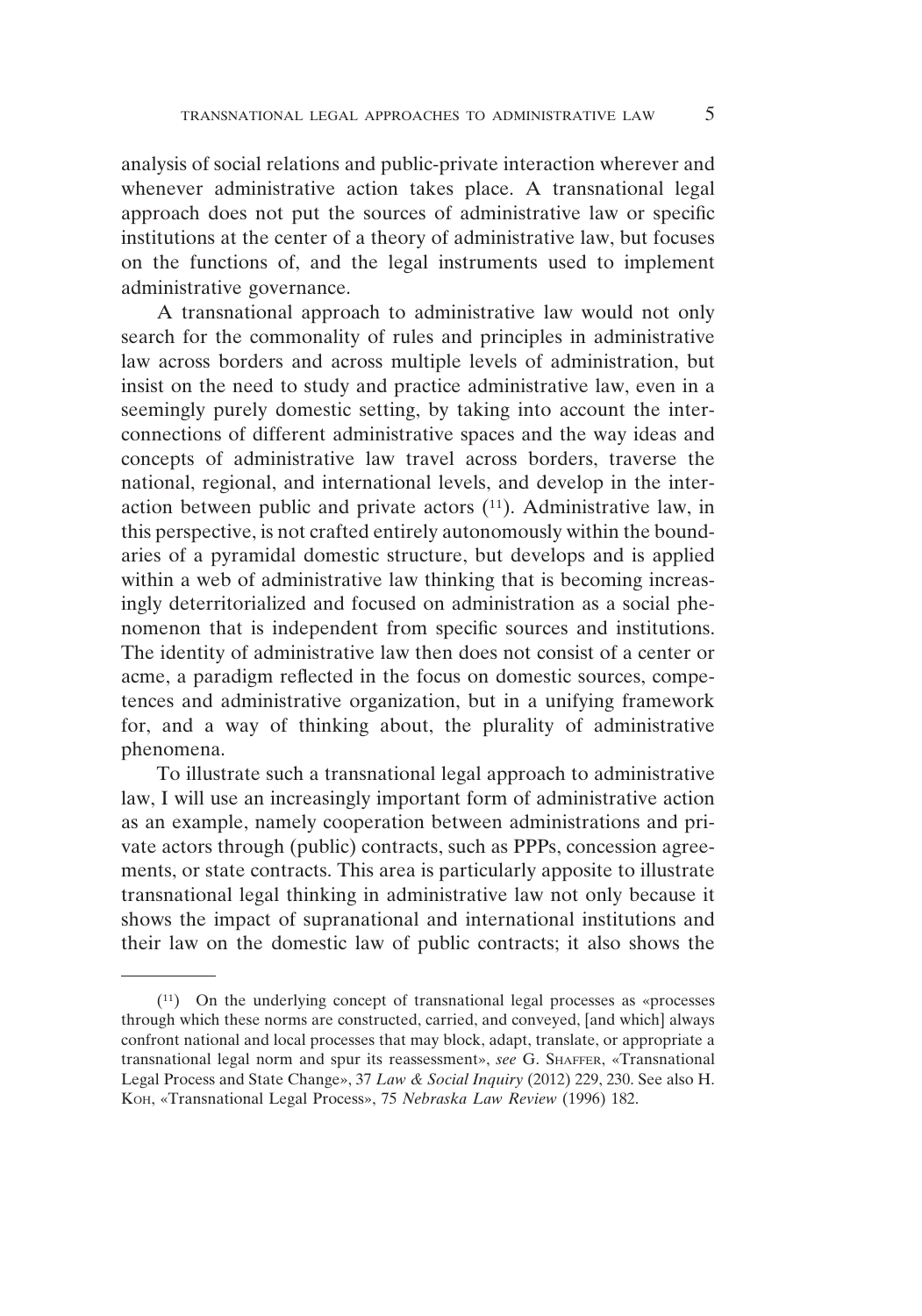analysis of social relations and public-private interaction wherever and whenever administrative action takes place. A transnational legal approach does not put the sources of administrative law or specific institutions at the center of a theory of administrative law, but focuses on the functions of, and the legal instruments used to implement administrative governance.

A transnational approach to administrative law would not only search for the commonality of rules and principles in administrative law across borders and across multiple levels of administration, but insist on the need to study and practice administrative law, even in a seemingly purely domestic setting, by taking into account the interconnections of different administrative spaces and the way ideas and concepts of administrative law travel across borders, traverse the national, regional, and international levels, and develop in the interaction between public and private actors  $(11)$ . Administrative law, in this perspective, is not crafted entirely autonomously within the boundaries of a pyramidal domestic structure, but develops and is applied within a web of administrative law thinking that is becoming increasingly deterritorialized and focused on administration as a social phenomenon that is independent from specific sources and institutions. The identity of administrative law then does not consist of a center or acme, a paradigm reflected in the focus on domestic sources, competences and administrative organization, but in a unifying framework for, and a way of thinking about, the plurality of administrative phenomena.

To illustrate such a transnational legal approach to administrative law, I will use an increasingly important form of administrative action as an example, namely cooperation between administrations and private actors through (public) contracts, such as PPPs, concession agreements, or state contracts. This area is particularly apposite to illustrate transnational legal thinking in administrative law not only because it shows the impact of supranational and international institutions and their law on the domestic law of public contracts; it also shows the

<sup>(11)</sup> On the underlying concept of transnational legal processes as «processes through which these norms are constructed, carried, and conveyed, [and which] always confront national and local processes that may block, adapt, translate, or appropriate a transnational legal norm and spur its reassessment», *see* G. SHAFFER, «Transnational Legal Process and State Change», 37 *Law & Social Inquiry* (2012) 229, 230. See also H. KOH, «Transnational Legal Process», 75 *Nebraska Law Review* (1996) 182.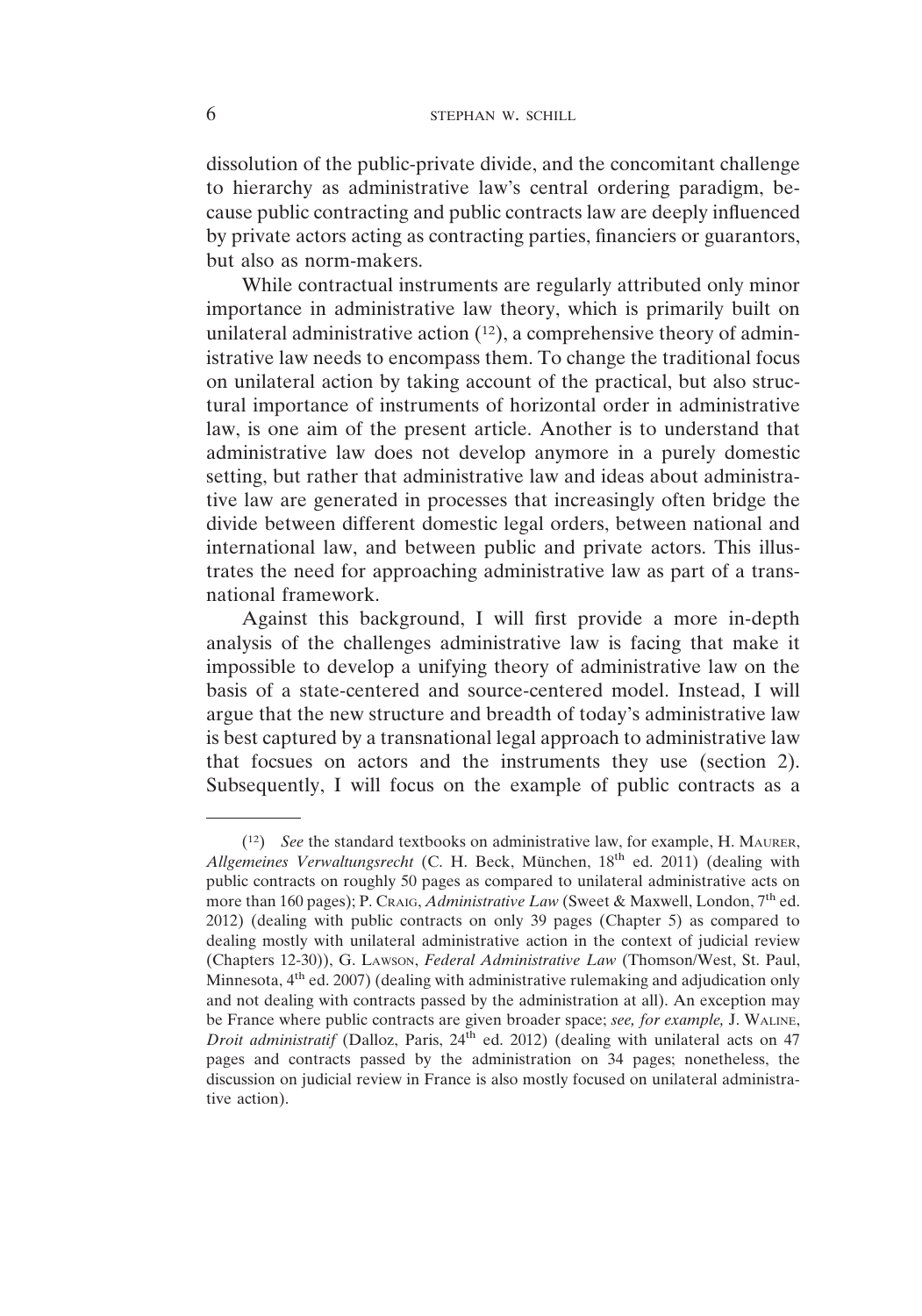dissolution of the public-private divide, and the concomitant challenge to hierarchy as administrative law's central ordering paradigm, because public contracting and public contracts law are deeply influenced by private actors acting as contracting parties, financiers or guarantors, but also as norm-makers.

While contractual instruments are regularly attributed only minor importance in administrative law theory, which is primarily built on unilateral administrative action  $(12)$ , a comprehensive theory of administrative law needs to encompass them. To change the traditional focus on unilateral action by taking account of the practical, but also structural importance of instruments of horizontal order in administrative law, is one aim of the present article. Another is to understand that administrative law does not develop anymore in a purely domestic setting, but rather that administrative law and ideas about administrative law are generated in processes that increasingly often bridge the divide between different domestic legal orders, between national and international law, and between public and private actors. This illustrates the need for approaching administrative law as part of a transnational framework.

Against this background, I will first provide a more in-depth analysis of the challenges administrative law is facing that make it impossible to develop a unifying theory of administrative law on the basis of a state-centered and source-centered model. Instead, I will argue that the new structure and breadth of today's administrative law is best captured by a transnational legal approach to administrative law that focsues on actors and the instruments they use (section 2). Subsequently, I will focus on the example of public contracts as a

<sup>(12)</sup> *See* the standard textbooks on administrative law, for example, H. MAURER, *Allgemeines Verwaltungsrecht* (C. H. Beck, München, 18th ed. 2011) (dealing with public contracts on roughly 50 pages as compared to unilateral administrative acts on more than 160 pages); P. CRAIG, *Administrative Law* (Sweet & Maxwell, London, 7<sup>th</sup> ed. 2012) (dealing with public contracts on only 39 pages (Chapter 5) as compared to dealing mostly with unilateral administrative action in the context of judicial review (Chapters 12-30)), G. LAWSON, *Federal Administrative Law* (Thomson/West, St. Paul, Minnesota, 4<sup>th</sup> ed. 2007) (dealing with administrative rulemaking and adjudication only and not dealing with contracts passed by the administration at all). An exception may be France where public contracts are given broader space; *see, for example,* J. WALINE, *Droit administratif* (Dalloz, Paris, 24<sup>th</sup> ed. 2012) (dealing with unilateral acts on 47 pages and contracts passed by the administration on 34 pages; nonetheless, the discussion on judicial review in France is also mostly focused on unilateral administrative action).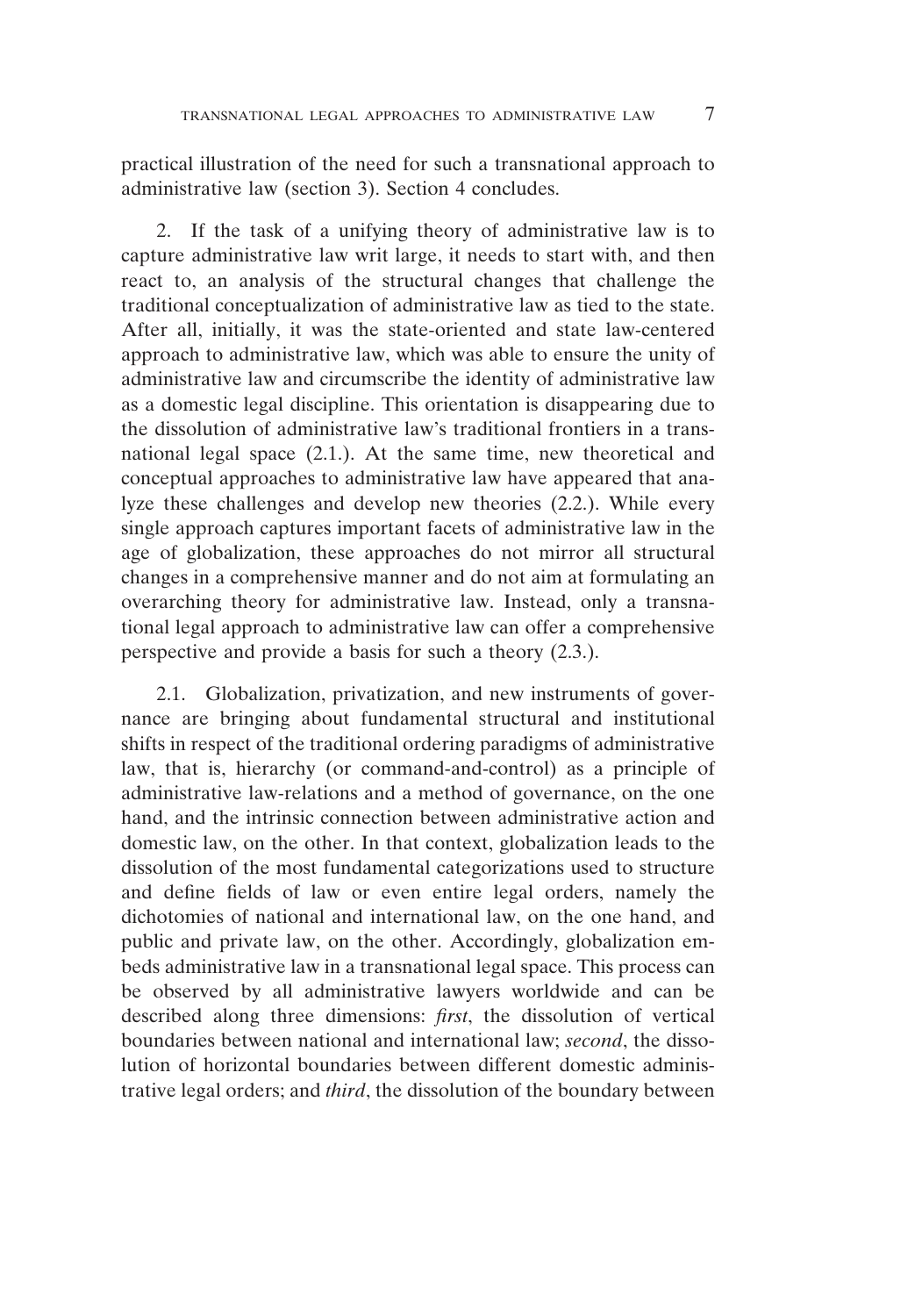practical illustration of the need for such a transnational approach to administrative law (section 3). Section 4 concludes.

2. If the task of a unifying theory of administrative law is to capture administrative law writ large, it needs to start with, and then react to, an analysis of the structural changes that challenge the traditional conceptualization of administrative law as tied to the state. After all, initially, it was the state-oriented and state law-centered approach to administrative law, which was able to ensure the unity of administrative law and circumscribe the identity of administrative law as a domestic legal discipline. This orientation is disappearing due to the dissolution of administrative law's traditional frontiers in a transnational legal space (2.1.). At the same time, new theoretical and conceptual approaches to administrative law have appeared that analyze these challenges and develop new theories (2.2.). While every single approach captures important facets of administrative law in the age of globalization, these approaches do not mirror all structural changes in a comprehensive manner and do not aim at formulating an overarching theory for administrative law. Instead, only a transnational legal approach to administrative law can offer a comprehensive perspective and provide a basis for such a theory (2.3.).

2.1. Globalization, privatization, and new instruments of governance are bringing about fundamental structural and institutional shifts in respect of the traditional ordering paradigms of administrative law, that is, hierarchy (or command-and-control) as a principle of administrative law-relations and a method of governance, on the one hand, and the intrinsic connection between administrative action and domestic law, on the other. In that context, globalization leads to the dissolution of the most fundamental categorizations used to structure and define fields of law or even entire legal orders, namely the dichotomies of national and international law, on the one hand, and public and private law, on the other. Accordingly, globalization embeds administrative law in a transnational legal space. This process can be observed by all administrative lawyers worldwide and can be described along three dimensions: *first*, the dissolution of vertical boundaries between national and international law; *second*, the dissolution of horizontal boundaries between different domestic administrative legal orders; and *third*, the dissolution of the boundary between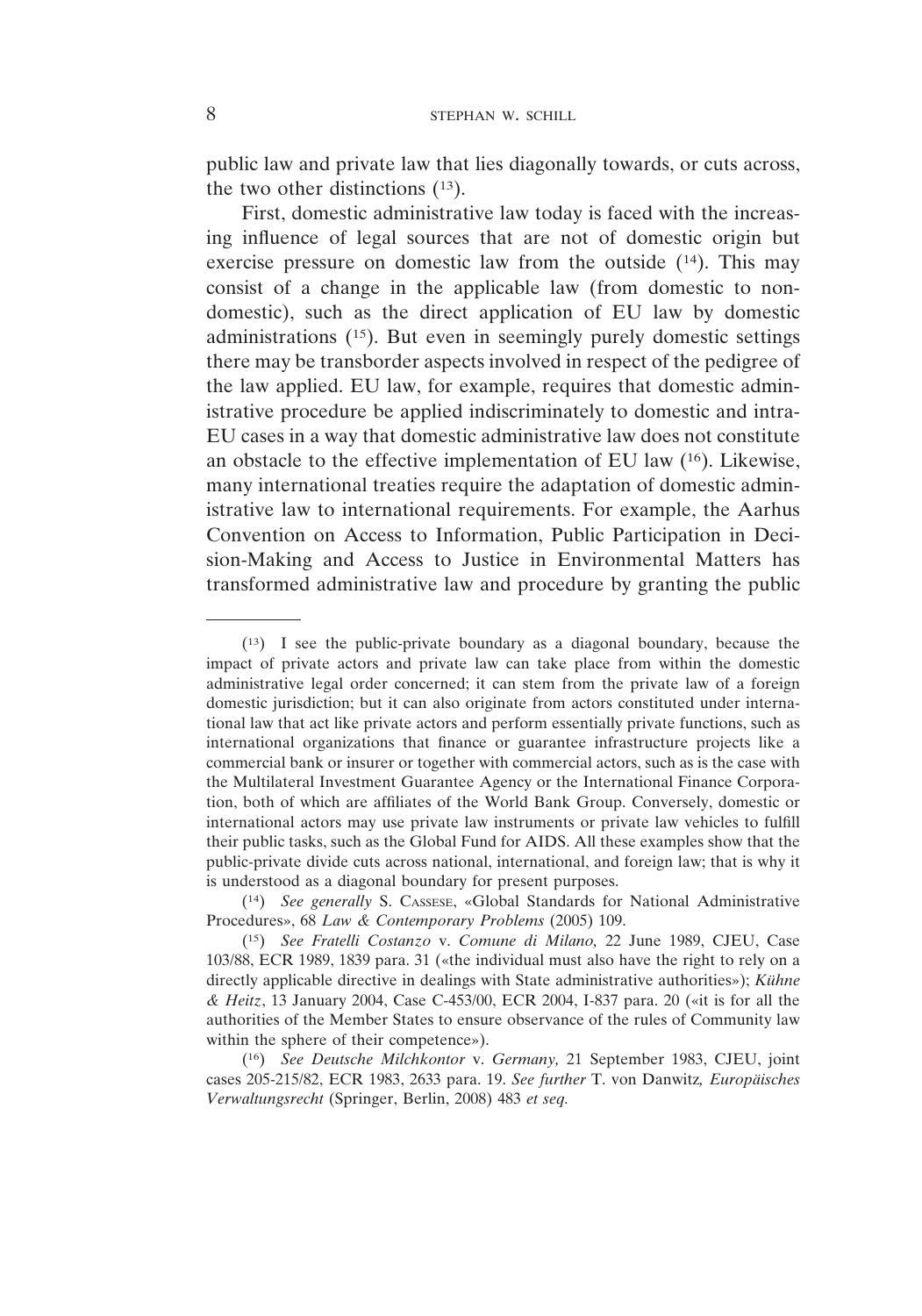public law and private law that lies diagonally towards, or cuts across, the two other distinctions (13).

First, domestic administrative law today is faced with the increasing influence of legal sources that are not of domestic origin but exercise pressure on domestic law from the outside (14). This may consist of a change in the applicable law (from domestic to nondomestic), such as the direct application of EU law by domestic administrations (15). But even in seemingly purely domestic settings there may be transborder aspects involved in respect of the pedigree of the law applied. EU law, for example, requires that domestic administrative procedure be applied indiscriminately to domestic and intra-EU cases in a way that domestic administrative law does not constitute an obstacle to the effective implementation of EU law (16). Likewise, many international treaties require the adaptation of domestic administrative law to international requirements. For example, the Aarhus Convention on Access to Information, Public Participation in Decision-Making and Access to Justice in Environmental Matters has transformed administrative law and procedure by granting the public

<sup>(13)</sup> I see the public-private boundary as a diagonal boundary, because the impact of private actors and private law can take place from within the domestic administrative legal order concerned; it can stem from the private law of a foreign domestic jurisdiction; but it can also originate from actors constituted under international law that act like private actors and perform essentially private functions, such as international organizations that finance or guarantee infrastructure projects like a commercial bank or insurer or together with commercial actors, such as is the case with the Multilateral Investment Guarantee Agency or the International Finance Corporation, both of which are affiliates of the World Bank Group. Conversely, domestic or international actors may use private law instruments or private law vehicles to fulfill their public tasks, such as the Global Fund for AIDS. All these examples show that the public-private divide cuts across national, international, and foreign law; that is why it is understood as a diagonal boundary for present purposes.

<sup>(14)</sup> *See generally* S. CASSESE, «Global Standards for National Administrative Procedures», 68 *Law & Contemporary Problems* (2005) 109.

<sup>(15)</sup> *See Fratelli Costanzo* v. *Comune di Milano,* 22 June 1989, CJEU, Case 103/88, ECR 1989, 1839 para. 31 («the individual must also have the right to rely on a directly applicable directive in dealings with State administrative authorities»); *Kühne & Heitz*, 13 January 2004, Case C-453/00, ECR 2004, I-837 para. 20 («it is for all the authorities of the Member States to ensure observance of the rules of Community law within the sphere of their competence»).

<sup>(16)</sup> *See Deutsche Milchkontor* v. *Germany,* 21 September 1983, CJEU, joint cases 205-215/82, ECR 1983, 2633 para. 19. *See further* T. von Danwitz*, Europäisches Verwaltungsrecht* (Springer, Berlin, 2008) 483 *et seq.*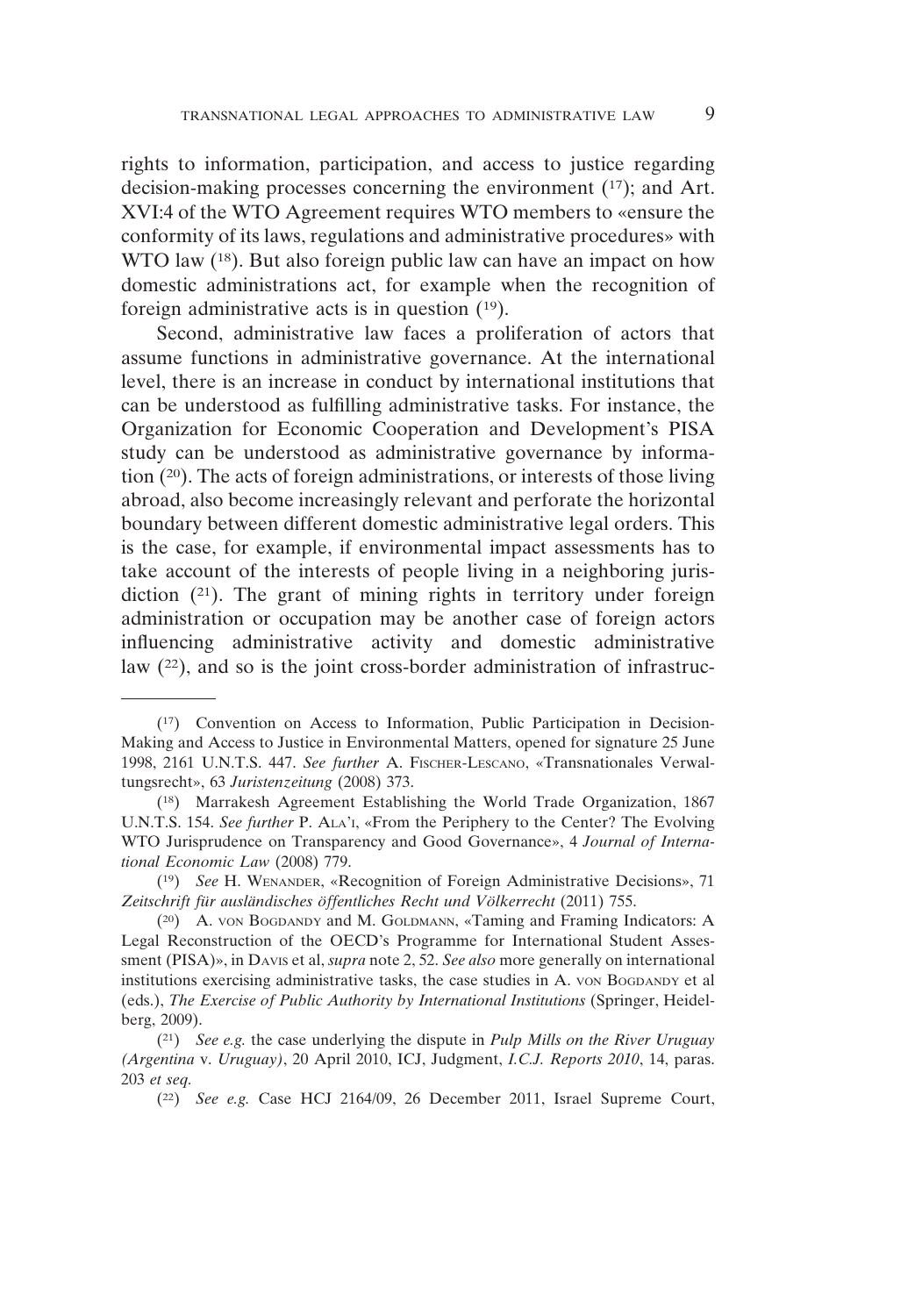rights to information, participation, and access to justice regarding decision-making processes concerning the environment (17); and Art. XVI:4 of the WTO Agreement requires WTO members to «ensure the conformity of its laws, regulations and administrative procedures» with WTO law (<sup>18</sup>). But also foreign public law can have an impact on how domestic administrations act, for example when the recognition of foreign administrative acts is in question (19).

Second, administrative law faces a proliferation of actors that assume functions in administrative governance. At the international level, there is an increase in conduct by international institutions that can be understood as fulfilling administrative tasks. For instance, the Organization for Economic Cooperation and Development's PISA study can be understood as administrative governance by information (20). The acts of foreign administrations, or interests of those living abroad, also become increasingly relevant and perforate the horizontal boundary between different domestic administrative legal orders. This is the case, for example, if environmental impact assessments has to take account of the interests of people living in a neighboring jurisdiction (21). The grant of mining rights in territory under foreign administration or occupation may be another case of foreign actors influencing administrative activity and domestic administrative law (22), and so is the joint cross-border administration of infrastruc-

<sup>(17)</sup> Convention on Access to Information, Public Participation in Decision-Making and Access to Justice in Environmental Matters, opened for signature 25 June 1998, 2161 U.N.T.S. 447. *See further* A. FISCHER-LESCANO, «Transnationales Verwaltungsrecht», 63 *Juristenzeitung* (2008) 373.

<sup>(18)</sup> Marrakesh Agreement Establishing the World Trade Organization, 1867 U.N.T.S. 154. *See further* P. ALA'I, «From the Periphery to the Center? The Evolving WTO Jurisprudence on Transparency and Good Governance», 4 *Journal of International Economic Law* (2008) 779.

<sup>(19)</sup> *See* H. WENANDER, «Recognition of Foreign Administrative Decisions», 71 *Zeitschrift für ausländisches öffentliches Recht und Völkerrecht* (2011) 755.

<sup>(20)</sup> A. VON BOGDANDY and M. GOLDMANN, «Taming and Framing Indicators: A Legal Reconstruction of the OECD's Programme for International Student Assessment (PISA)», in DAVIS et al, *supra* note 2, 52. *See also* more generally on international institutions exercising administrative tasks, the case studies in A. VON BOGDANDY et al (eds.), *The Exercise of Public Authority by International Institutions* (Springer, Heidelberg, 2009).

<sup>(21)</sup> *See e.g.* the case underlying the dispute in *Pulp Mills on the River Uruguay (Argentina* v. *Uruguay)*, 20 April 2010, ICJ, Judgment, *I.C.J. Reports 2010*, 14, paras. 203 *et seq.*

<sup>(22)</sup> *See e.g.* Case HCJ 2164/09, 26 December 2011, Israel Supreme Court,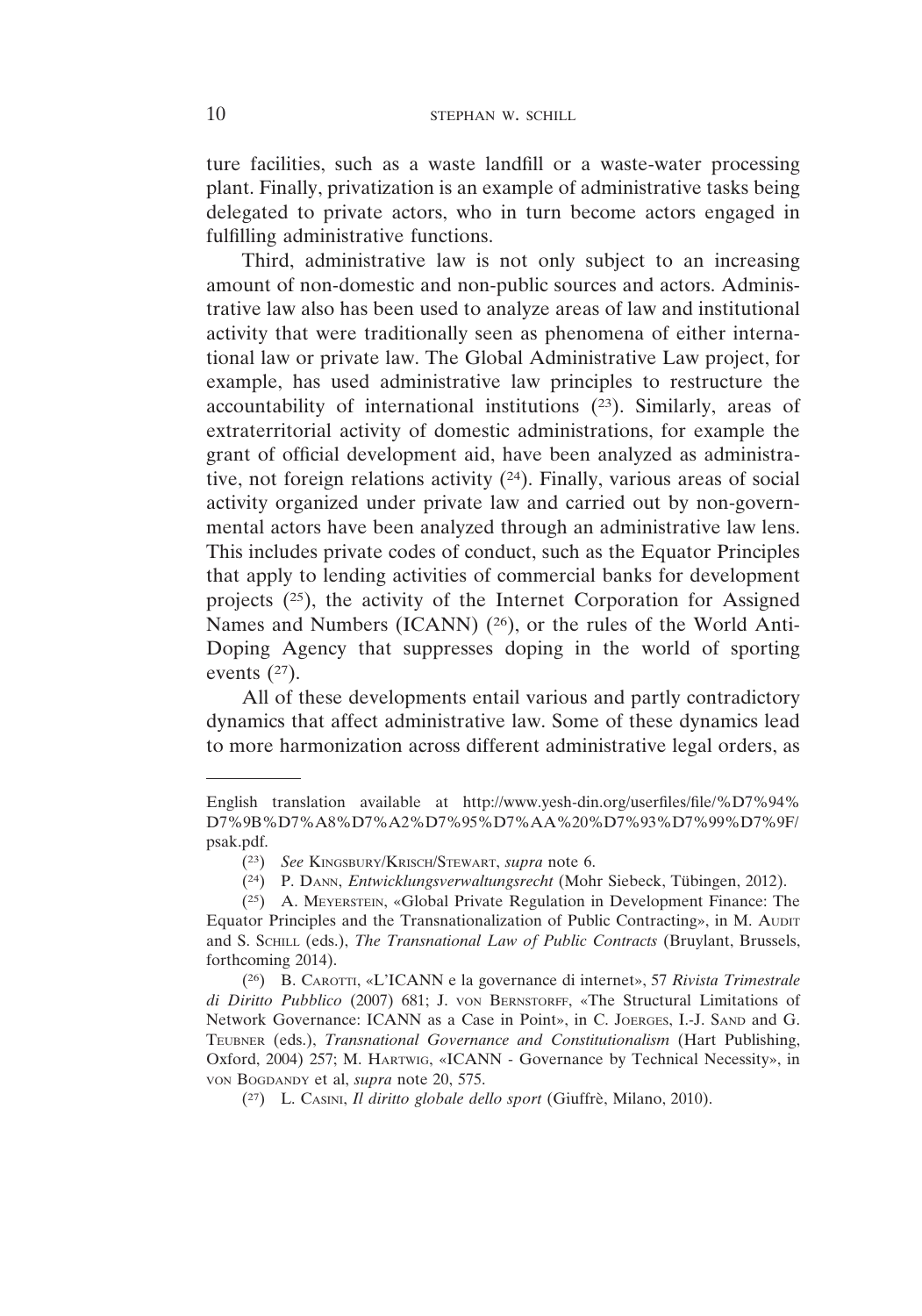ture facilities, such as a waste landfill or a waste-water processing plant. Finally, privatization is an example of administrative tasks being delegated to private actors, who in turn become actors engaged in fulfilling administrative functions.

Third, administrative law is not only subject to an increasing amount of non-domestic and non-public sources and actors. Administrative law also has been used to analyze areas of law and institutional activity that were traditionally seen as phenomena of either international law or private law. The Global Administrative Law project, for example, has used administrative law principles to restructure the accountability of international institutions (23). Similarly, areas of extraterritorial activity of domestic administrations, for example the grant of official development aid, have been analyzed as administrative, not foreign relations activity (24). Finally, various areas of social activity organized under private law and carried out by non-governmental actors have been analyzed through an administrative law lens. This includes private codes of conduct, such as the Equator Principles that apply to lending activities of commercial banks for development projects (25), the activity of the Internet Corporation for Assigned Names and Numbers (ICANN) (26), or the rules of the World Anti-Doping Agency that suppresses doping in the world of sporting events  $(27)$ .

All of these developments entail various and partly contradictory dynamics that affect administrative law. Some of these dynamics lead to more harmonization across different administrative legal orders, as

English translation available at http://www.yesh-din.org/userfiles/file/%D7%94% D7%9B%D7%A8%D7%A2%D7%95%D7%AA%20%D7%93%D7%99%D7%9F/ psak.pdf.

<sup>(23)</sup> *See* KINGSBURY/KRISCH/STEWART, *supra* note 6.

<sup>(24)</sup> P. DANN, *Entwicklungsverwaltungsrecht* (Mohr Siebeck, Tübingen, 2012).

<sup>(25)</sup> A. MEYERSTEIN, «Global Private Regulation in Development Finance: The Equator Principles and the Transnationalization of Public Contracting», in M. AUDIT and S. SCHILL (eds.), *The Transnational Law of Public Contracts* (Bruylant, Brussels, forthcoming 2014).

<sup>(26)</sup> B. CAROTTI, «L'ICANN e la governance di internet», 57 *Rivista Trimestrale di Diritto Pubblico* (2007) 681; J. VON BERNSTORFF, «The Structural Limitations of Network Governance: ICANN as a Case in Point», in C. JOERGES, I.-J. SAND and G. TEUBNER (eds.), *Transnational Governance and Constitutionalism* (Hart Publishing, Oxford, 2004) 257; M. HARTWIG, «ICANN - Governance by Technical Necessity», in VON BOGDANDY et al, *supra* note 20, 575.

<sup>(27)</sup> L. CASINI, *Il diritto globale dello sport* (Giuffrè, Milano, 2010).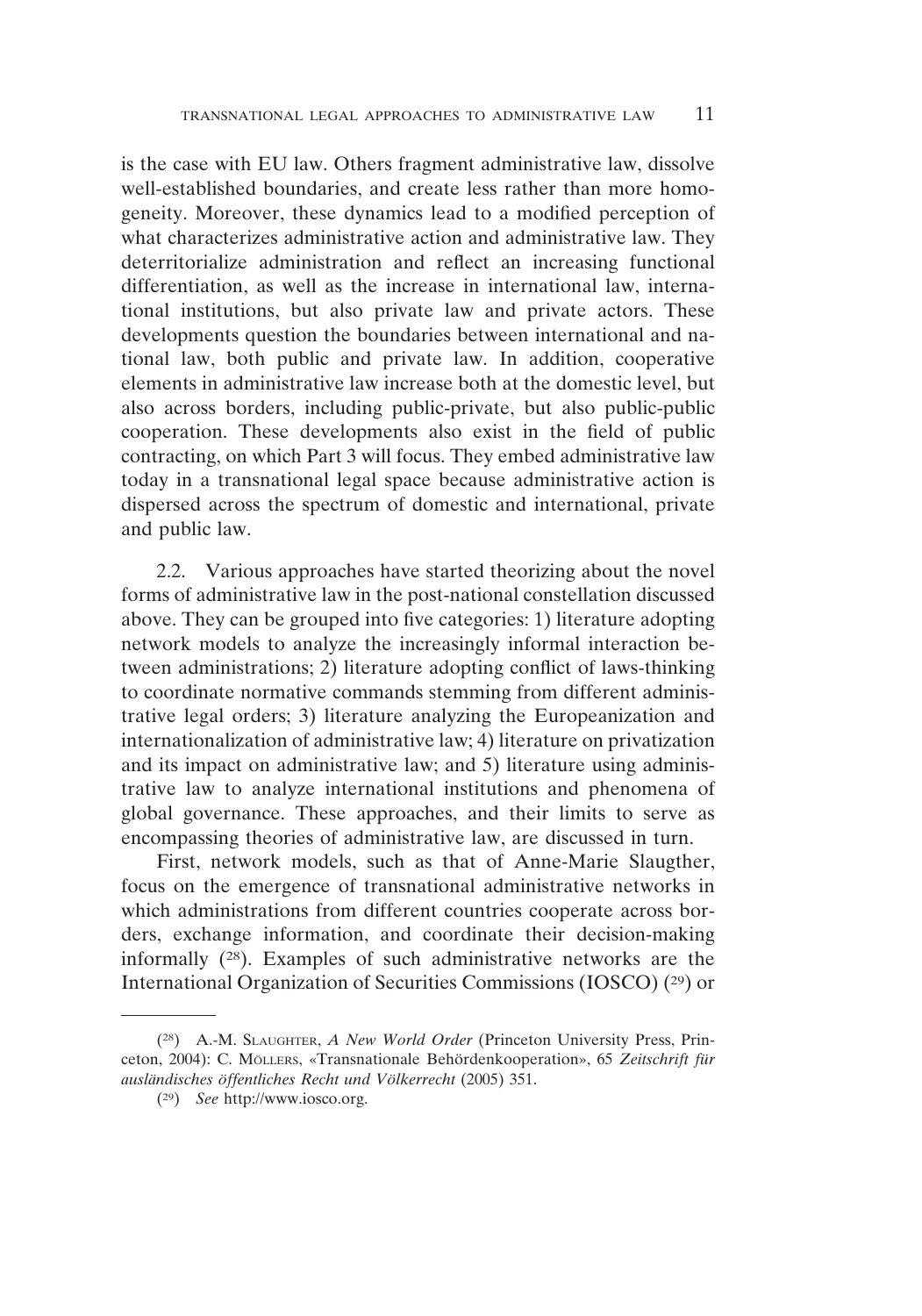is the case with EU law. Others fragment administrative law, dissolve well-established boundaries, and create less rather than more homogeneity. Moreover, these dynamics lead to a modified perception of what characterizes administrative action and administrative law. They deterritorialize administration and reflect an increasing functional differentiation, as well as the increase in international law, international institutions, but also private law and private actors. These developments question the boundaries between international and national law, both public and private law. In addition, cooperative elements in administrative law increase both at the domestic level, but also across borders, including public-private, but also public-public cooperation. These developments also exist in the field of public contracting, on which Part 3 will focus. They embed administrative law today in a transnational legal space because administrative action is dispersed across the spectrum of domestic and international, private and public law.

2.2. Various approaches have started theorizing about the novel forms of administrative law in the post-national constellation discussed above. They can be grouped into five categories: 1) literature adopting network models to analyze the increasingly informal interaction between administrations; 2) literature adopting conflict of laws-thinking to coordinate normative commands stemming from different administrative legal orders; 3) literature analyzing the Europeanization and internationalization of administrative law; 4) literature on privatization and its impact on administrative law; and 5) literature using administrative law to analyze international institutions and phenomena of global governance. These approaches, and their limits to serve as encompassing theories of administrative law, are discussed in turn.

First, network models, such as that of Anne-Marie Slaugther, focus on the emergence of transnational administrative networks in which administrations from different countries cooperate across borders, exchange information, and coordinate their decision-making informally (28). Examples of such administrative networks are the International Organization of Securities Commissions (IOSCO) (29) or

<sup>(28)</sup> A.-M. SLAUGHTER, *A New World Order* (Princeton University Press, Princeton, 2004): C. MÖLLERS, «Transnationale Behördenkooperation», 65 *Zeitschrift für ausländisches öffentliches Recht und Völkerrecht* (2005) 351.

<sup>(29)</sup> *See* http://www.iosco.org.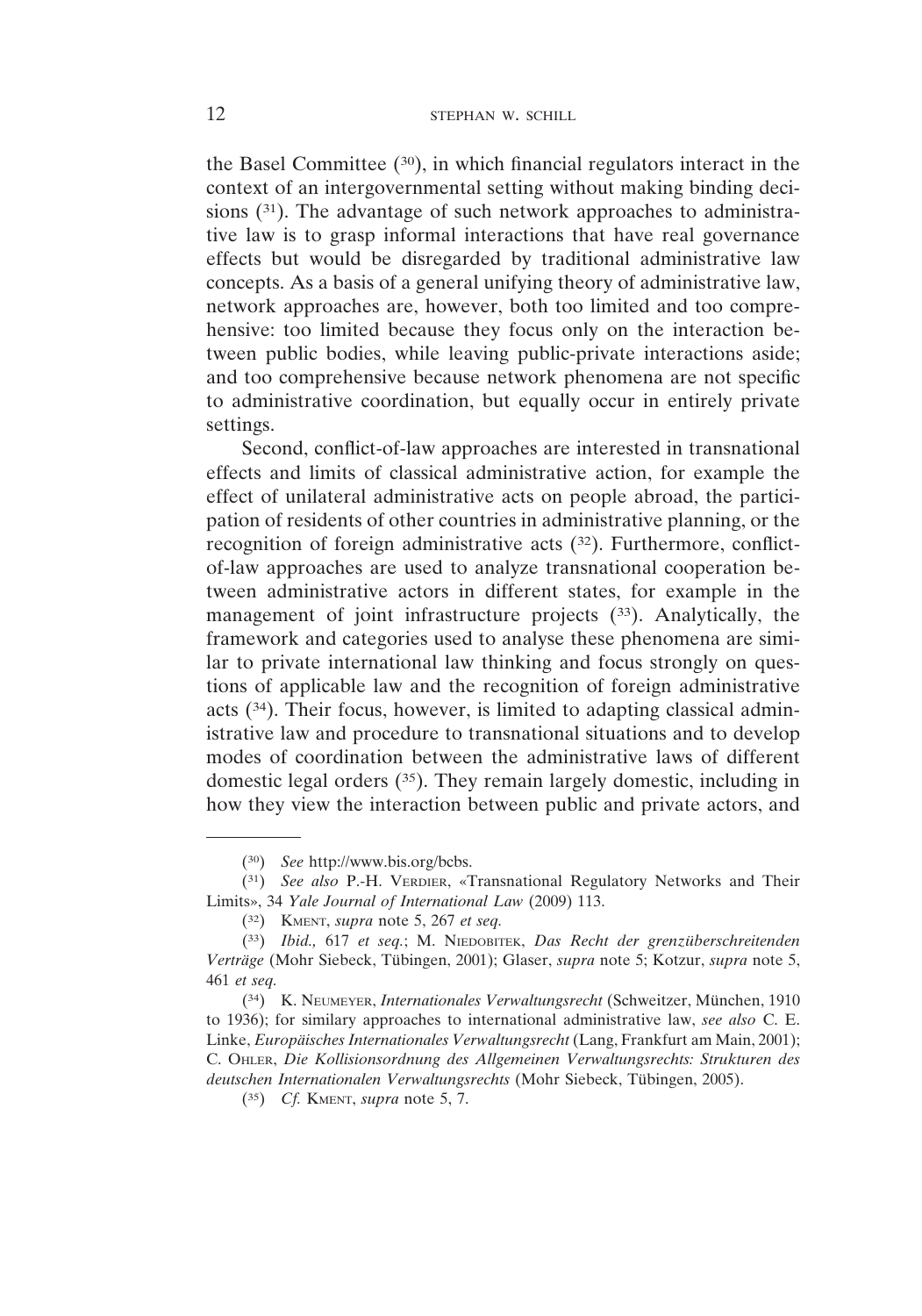the Basel Committee (30), in which financial regulators interact in the context of an intergovernmental setting without making binding decisions  $(31)$ . The advantage of such network approaches to administrative law is to grasp informal interactions that have real governance effects but would be disregarded by traditional administrative law concepts. As a basis of a general unifying theory of administrative law, network approaches are, however, both too limited and too comprehensive: too limited because they focus only on the interaction between public bodies, while leaving public-private interactions aside; and too comprehensive because network phenomena are not specific to administrative coordination, but equally occur in entirely private settings.

Second, conflict-of-law approaches are interested in transnational effects and limits of classical administrative action, for example the effect of unilateral administrative acts on people abroad, the participation of residents of other countries in administrative planning, or the recognition of foreign administrative acts (32). Furthermore, conflictof-law approaches are used to analyze transnational cooperation between administrative actors in different states, for example in the management of joint infrastructure projects (33). Analytically, the framework and categories used to analyse these phenomena are similar to private international law thinking and focus strongly on questions of applicable law and the recognition of foreign administrative acts (34). Their focus, however, is limited to adapting classical administrative law and procedure to transnational situations and to develop modes of coordination between the administrative laws of different domestic legal orders (35). They remain largely domestic, including in how they view the interaction between public and private actors, and

<sup>(30)</sup> *See* http://www.bis.org/bcbs.

<sup>(31)</sup> *See also* P.-H. VERDIER, «Transnational Regulatory Networks and Their Limits», 34 *Yale Journal of International Law* (2009) 113.

<sup>(32)</sup> KMENT, *supra* note 5, 267 *et seq.*

<sup>(33)</sup> *Ibid.,* 617 *et seq.*; M. NIEDOBITEK, *Das Recht der grenzüberschreitenden Verträge* (Mohr Siebeck, Tübingen, 2001); Glaser, *supra* note 5; Kotzur, *supra* note 5, 461 *et seq.*

<sup>(34)</sup> K. NEUMEYER, *Internationales Verwaltungsrecht* (Schweitzer, München, 1910 to 1936); for similary approaches to international administrative law, *see also* C. E. Linke, *Europäisches Internationales Verwaltungsrecht* (Lang, Frankfurt am Main, 2001); C. OHLER, *Die Kollisionsordnung des Allgemeinen Verwaltungsrechts: Strukturen des deutschen Internationalen Verwaltungsrechts* (Mohr Siebeck, Tübingen, 2005).

<sup>(35)</sup> *Cf.* KMENT, *supra* note 5, 7.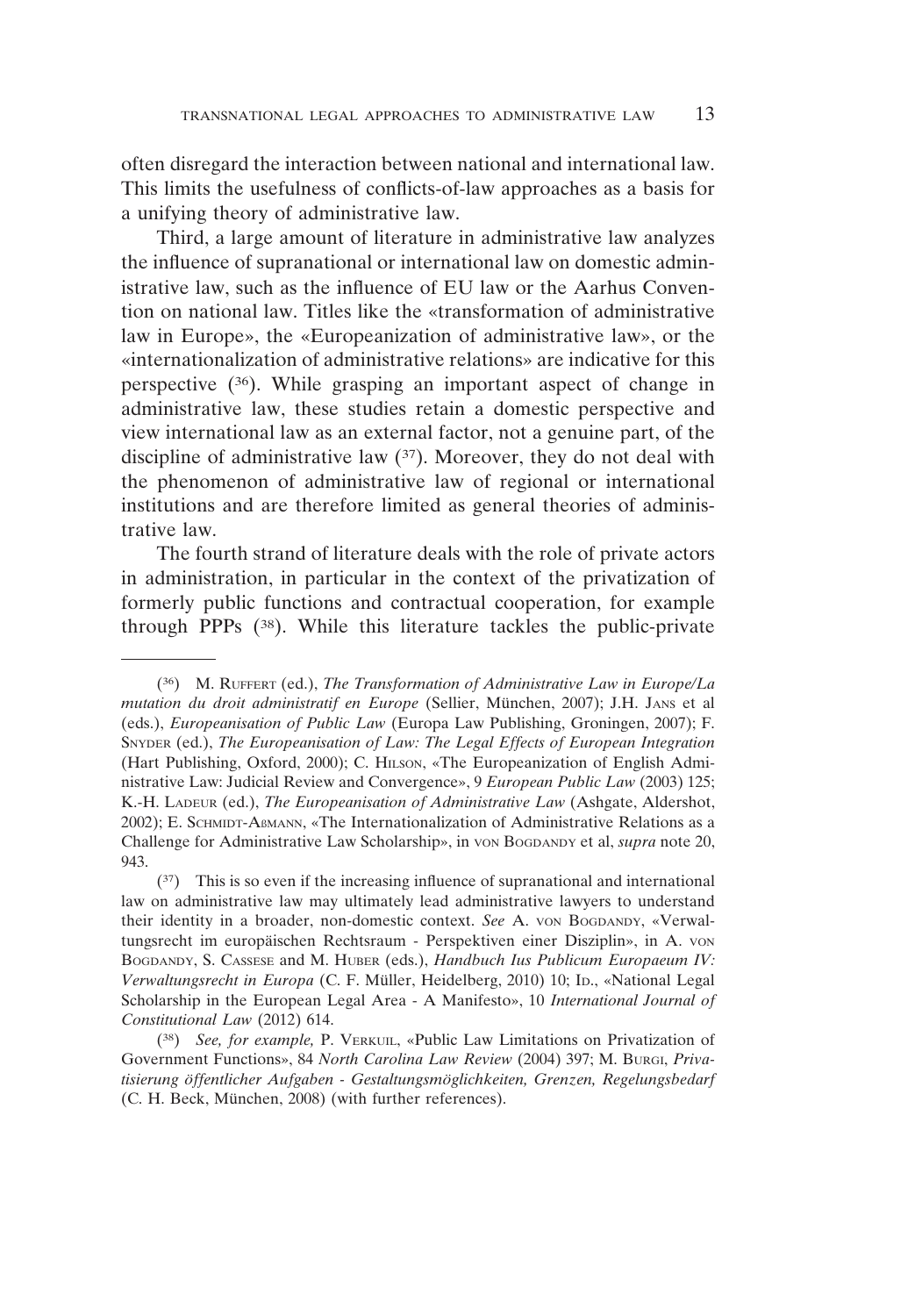often disregard the interaction between national and international law. This limits the usefulness of conflicts-of-law approaches as a basis for a unifying theory of administrative law.

Third, a large amount of literature in administrative law analyzes the influence of supranational or international law on domestic administrative law, such as the influence of EU law or the Aarhus Convention on national law. Titles like the «transformation of administrative law in Europe», the «Europeanization of administrative law», or the «internationalization of administrative relations» are indicative for this perspective (36). While grasping an important aspect of change in administrative law, these studies retain a domestic perspective and view international law as an external factor, not a genuine part, of the discipline of administrative law (37). Moreover, they do not deal with the phenomenon of administrative law of regional or international institutions and are therefore limited as general theories of administrative law.

The fourth strand of literature deals with the role of private actors in administration, in particular in the context of the privatization of formerly public functions and contractual cooperation, for example through PPPs (38). While this literature tackles the public-private

<sup>(36)</sup> M. RUFFERT (ed.), *The Transformation of Administrative Law in Europe/La mutation du droit administratif en Europe* (Sellier, München, 2007); J.H. JANS et al (eds.), *Europeanisation of Public Law* (Europa Law Publishing, Groningen, 2007); F. SNYDER (ed.), *The Europeanisation of Law: The Legal Effects of European Integration* (Hart Publishing, Oxford, 2000); C. HILSON, «The Europeanization of English Administrative Law: Judicial Review and Convergence», 9 *European Public Law* (2003) 125; K.-H. LADEUR (ed.), *The Europeanisation of Administrative Law* (Ashgate, Aldershot, 2002); E. SCHMIDT-AßMANN, «The Internationalization of Administrative Relations as a Challenge for Administrative Law Scholarship», in VON BOGDANDY et al, *supra* note 20, 943.

<sup>(37)</sup> This is so even if the increasing influence of supranational and international law on administrative law may ultimately lead administrative lawyers to understand their identity in a broader, non-domestic context. *See* A. VON BOGDANDY, «Verwaltungsrecht im europäischen Rechtsraum - Perspektiven einer Disziplin», in A. VON BOGDANDY, S. CASSESE and M. HUBER (eds.), *Handbuch Ius Publicum Europaeum IV: Verwaltungsrecht in Europa* (C. F. Müller, Heidelberg, 2010) 10; ID., «National Legal Scholarship in the European Legal Area - A Manifesto», 10 *International Journal of Constitutional Law* (2012) 614.

<sup>(38)</sup> *See, for example,* P. VERKUIL, «Public Law Limitations on Privatization of Government Functions», 84 *North Carolina Law Review* (2004) 397; M. BURGI, *Privatisierung öffentlicher Aufgaben - Gestaltungsmöglichkeiten, Grenzen, Regelungsbedarf* (C. H. Beck, München, 2008) (with further references).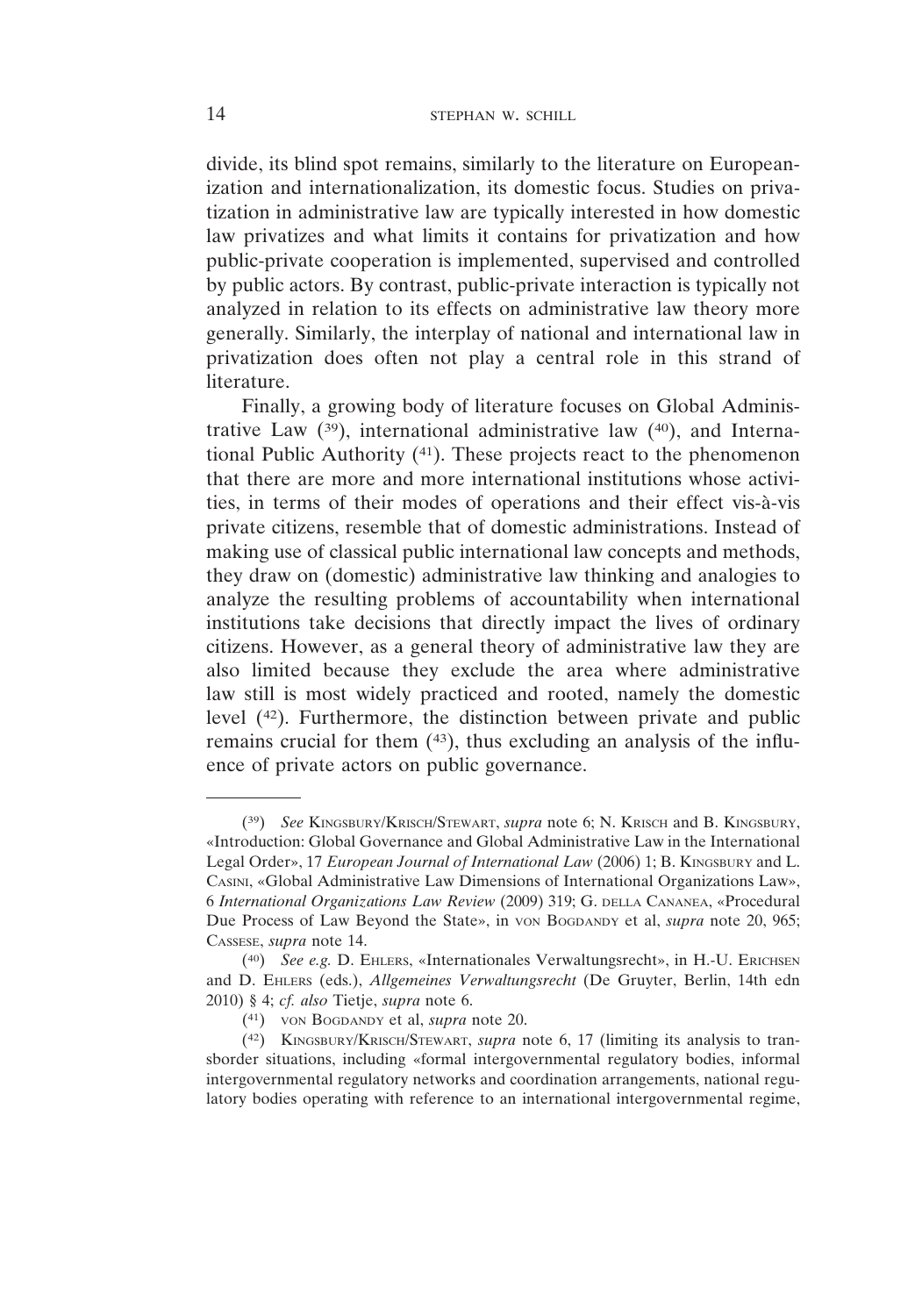divide, its blind spot remains, similarly to the literature on Europeanization and internationalization, its domestic focus. Studies on privatization in administrative law are typically interested in how domestic law privatizes and what limits it contains for privatization and how public-private cooperation is implemented, supervised and controlled by public actors. By contrast, public-private interaction is typically not analyzed in relation to its effects on administrative law theory more generally. Similarly, the interplay of national and international law in privatization does often not play a central role in this strand of literature.

Finally, a growing body of literature focuses on Global Administrative Law  $(39)$ , international administrative law  $(40)$ , and International Public Authority (41). These projects react to the phenomenon that there are more and more international institutions whose activities, in terms of their modes of operations and their effect vis-à-vis private citizens, resemble that of domestic administrations. Instead of making use of classical public international law concepts and methods, they draw on (domestic) administrative law thinking and analogies to analyze the resulting problems of accountability when international institutions take decisions that directly impact the lives of ordinary citizens. However, as a general theory of administrative law they are also limited because they exclude the area where administrative law still is most widely practiced and rooted, namely the domestic level (42). Furthermore, the distinction between private and public remains crucial for them (43), thus excluding an analysis of the influence of private actors on public governance.

<sup>(39)</sup> *See* KINGSBURY/KRISCH/STEWART, *supra* note 6; N. KRISCH and B. KINGSBURY, «Introduction: Global Governance and Global Administrative Law in the International Legal Order», 17 *European Journal of International Law* (2006) 1; B. KINGSBURY and L. CASINI, «Global Administrative Law Dimensions of International Organizations Law», 6 *International Organizations Law Review* (2009) 319; G. DELLA CANANEA, «Procedural Due Process of Law Beyond the State», in von BoGDANDY et al, *supra* note 20, 965; CASSESE, *supra* note 14.

<sup>(40)</sup> *See e.g.* D. EHLERS, «Internationales Verwaltungsrecht», in H.-U. ERICHSEN and D. EHLERS (eds.), *Allgemeines Verwaltungsrecht* (De Gruyter, Berlin, 14th edn 2010) § 4; *cf. also* Tietje, *supra* note 6.

<sup>(41)</sup> VON BOGDANDY et al, *supra* note 20.

<sup>(42)</sup> KINGSBURY/KRISCH/STEWART, *supra* note 6, 17 (limiting its analysis to transborder situations, including «formal intergovernmental regulatory bodies, informal intergovernmental regulatory networks and coordination arrangements, national regulatory bodies operating with reference to an international intergovernmental regime,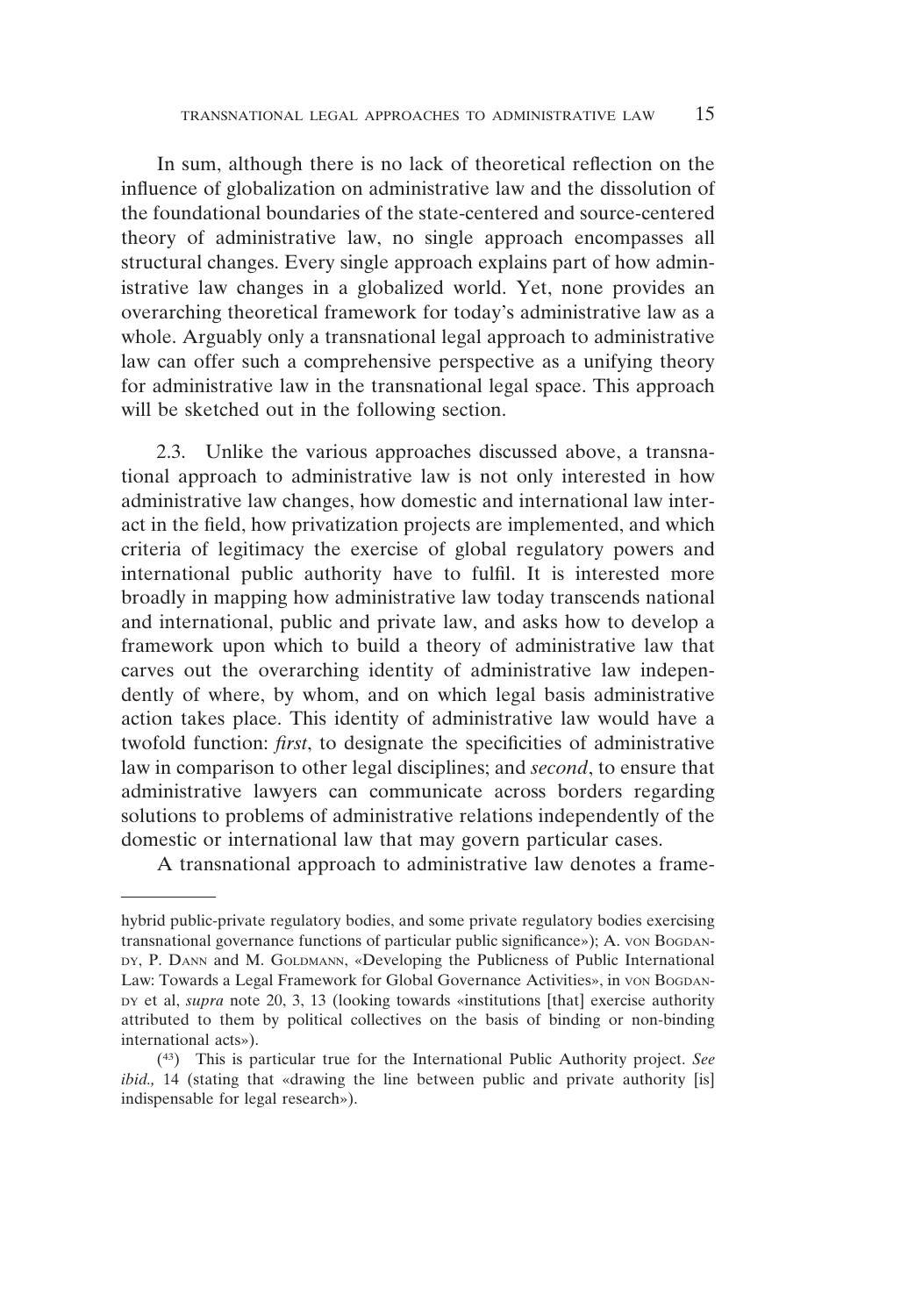In sum, although there is no lack of theoretical reflection on the influence of globalization on administrative law and the dissolution of the foundational boundaries of the state-centered and source-centered theory of administrative law, no single approach encompasses all structural changes. Every single approach explains part of how administrative law changes in a globalized world. Yet, none provides an overarching theoretical framework for today's administrative law as a whole. Arguably only a transnational legal approach to administrative law can offer such a comprehensive perspective as a unifying theory for administrative law in the transnational legal space. This approach will be sketched out in the following section.

2.3. Unlike the various approaches discussed above, a transnational approach to administrative law is not only interested in how administrative law changes, how domestic and international law interact in the field, how privatization projects are implemented, and which criteria of legitimacy the exercise of global regulatory powers and international public authority have to fulfil. It is interested more broadly in mapping how administrative law today transcends national and international, public and private law, and asks how to develop a framework upon which to build a theory of administrative law that carves out the overarching identity of administrative law independently of where, by whom, and on which legal basis administrative action takes place. This identity of administrative law would have a twofold function: *first*, to designate the specificities of administrative law in comparison to other legal disciplines; and *second*, to ensure that administrative lawyers can communicate across borders regarding solutions to problems of administrative relations independently of the domestic or international law that may govern particular cases.

A transnational approach to administrative law denotes a frame-

hybrid public-private regulatory bodies, and some private regulatory bodies exercising transnational governance functions of particular public significance»); A. VON BOGDAN-DY, P. DANN and M. GOLDMANN, «Developing the Publicness of Public International Law: Towards a Legal Framework for Global Governance Activities», in von Bogdan-DY et al, *supra* note 20, 3, 13 (looking towards «institutions [that] exercise authority attributed to them by political collectives on the basis of binding or non-binding international acts»).

<sup>(43)</sup> This is particular true for the International Public Authority project. *See ibid.*, 14 (stating that «drawing the line between public and private authority [is] indispensable for legal research»).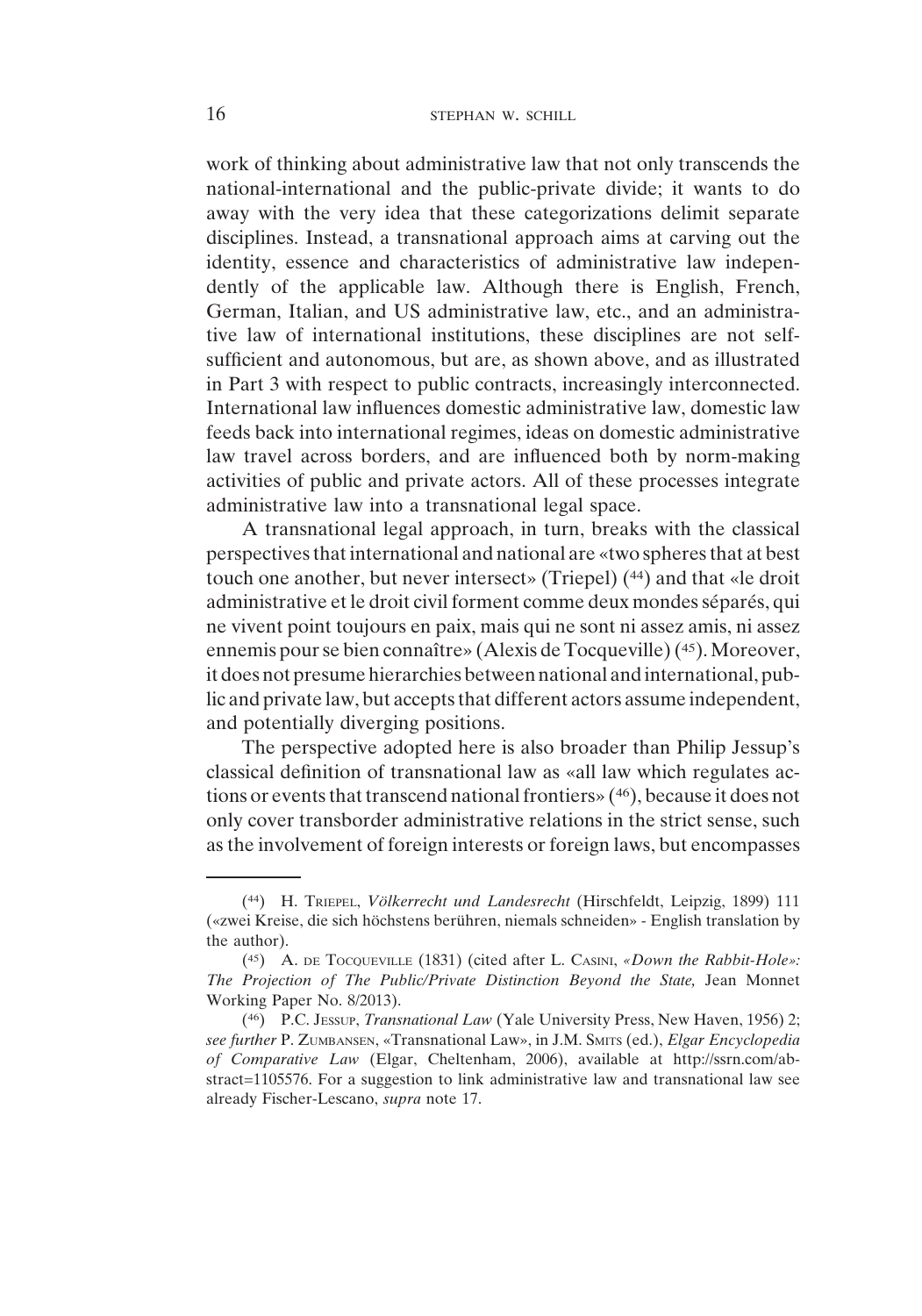work of thinking about administrative law that not only transcends the national-international and the public-private divide; it wants to do away with the very idea that these categorizations delimit separate disciplines. Instead, a transnational approach aims at carving out the identity, essence and characteristics of administrative law independently of the applicable law. Although there is English, French, German, Italian, and US administrative law, etc., and an administrative law of international institutions, these disciplines are not selfsufficient and autonomous, but are, as shown above, and as illustrated in Part 3 with respect to public contracts, increasingly interconnected. International law influences domestic administrative law, domestic law feeds back into international regimes, ideas on domestic administrative law travel across borders, and are influenced both by norm-making activities of public and private actors. All of these processes integrate administrative law into a transnational legal space.

A transnational legal approach, in turn, breaks with the classical perspectives that international and national are «two spheres that at best touch one another, but never intersect» (Triepel) (44) and that «le droit administrative et le droit civil forment comme deux mondes séparés, qui ne vivent point toujours en paix, mais qui ne sont ni assez amis, ni assez ennemis pour se bien connaître» (Alexis de Tocqueville) (45). Moreover, it does not presume hierarchies between national and international, public and private law, but accepts that different actors assume independent, and potentially diverging positions.

The perspective adopted here is also broader than Philip Jessup's classical definition of transnational law as «all law which regulates actions or events that transcend national frontiers» (46), because it does not only cover transborder administrative relations in the strict sense, such as the involvement of foreign interests or foreign laws, but encompasses

<sup>(44)</sup> H. TRIEPEL, *Völkerrecht und Landesrecht* (Hirschfeldt, Leipzig, 1899) 111 («zwei Kreise, die sich höchstens berühren, niemals schneiden» - English translation by the author).

<sup>(45)</sup> A. DE TOCQUEVILLE (1831) (cited after L. CASINI, *«Down the Rabbit-Hole»: The Projection of The Public/Private Distinction Beyond the State,* Jean Monnet Working Paper No. 8/2013).

<sup>(46)</sup> P.C. JESSUP, *Transnational Law* (Yale University Press, New Haven, 1956) 2; *see further* P. ZUMBANSEN, «Transnational Law», in J.M. SMITS (ed.), *Elgar Encyclopedia of Comparative Law* (Elgar, Cheltenham, 2006), available at http://ssrn.com/abstract=1105576. For a suggestion to link administrative law and transnational law see already Fischer-Lescano, *supra* note 17.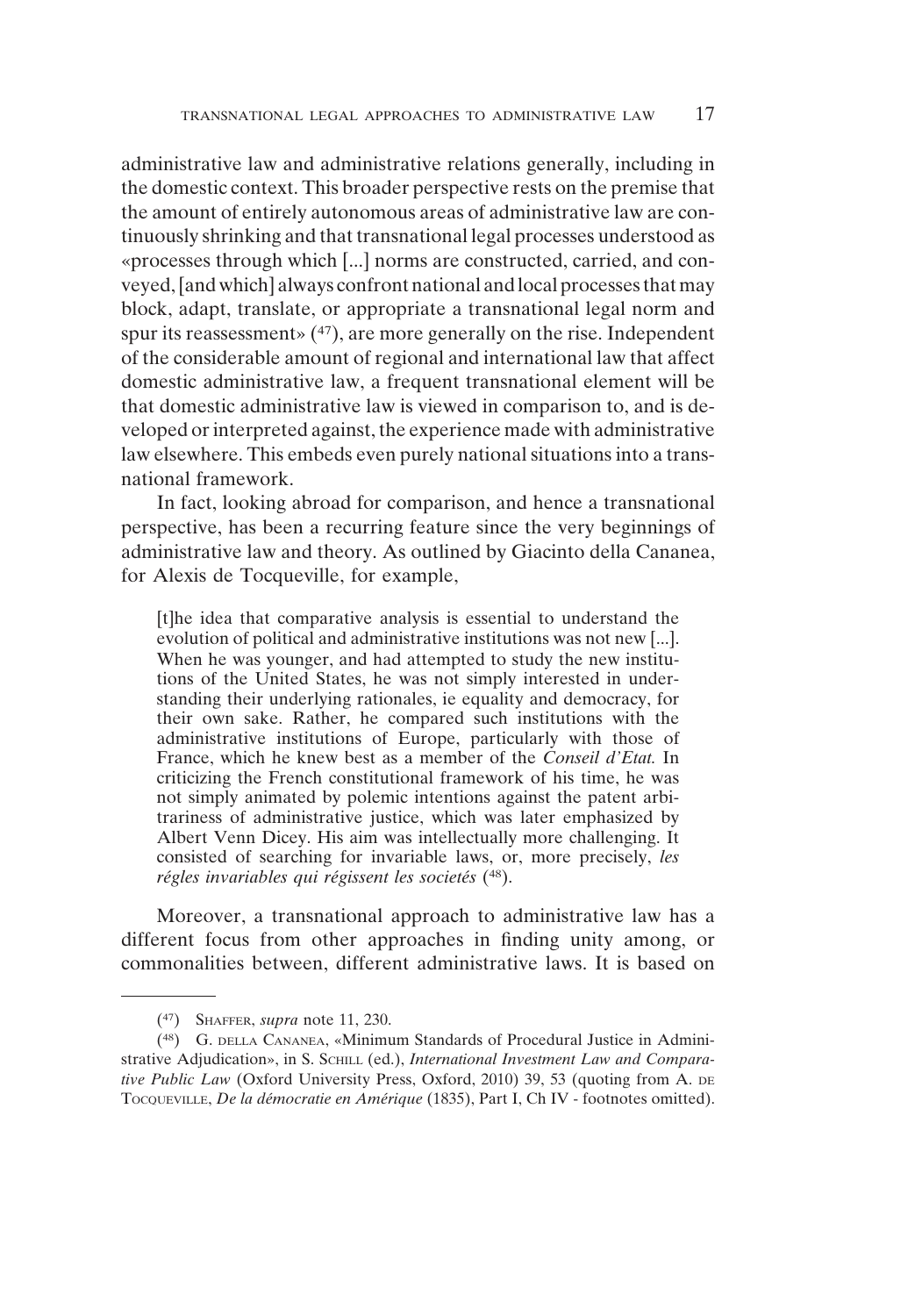administrative law and administrative relations generally, including in the domestic context. This broader perspective rests on the premise that the amount of entirely autonomous areas of administrative law are continuously shrinking and that transnational legal processes understood as «processes through which [...] norms are constructed, carried, and conveyed, [and which] always confront national andlocal processes thatmay block, adapt, translate, or appropriate a transnational legal norm and spur its reassessment»  $(47)$ , are more generally on the rise. Independent of the considerable amount of regional and international law that affect domestic administrative law, a frequent transnational element will be that domestic administrative law is viewed in comparison to, and is developed or interpreted against, the experience made with administrative law elsewhere. This embeds even purely national situations into a transnational framework.

In fact, looking abroad for comparison, and hence a transnational perspective, has been a recurring feature since the very beginnings of administrative law and theory. As outlined by Giacinto della Cananea, for Alexis de Tocqueville, for example,

[t]he idea that comparative analysis is essential to understand the evolution of political and administrative institutions was not new [...]. When he was younger, and had attempted to study the new institutions of the United States, he was not simply interested in understanding their underlying rationales, ie equality and democracy, for their own sake. Rather, he compared such institutions with the administrative institutions of Europe, particularly with those of France, which he knew best as a member of the *Conseil d'Etat.* In criticizing the French constitutional framework of his time, he was not simply animated by polemic intentions against the patent arbitrariness of administrative justice, which was later emphasized by Albert Venn Dicey. His aim was intellectually more challenging. It consisted of searching for invariable laws, or, more precisely, *les régles invariables qui régissent les societés* (48).

Moreover, a transnational approach to administrative law has a different focus from other approaches in finding unity among, or commonalities between, different administrative laws. It is based on

<sup>(47)</sup> SHAFFER, *supra* note 11, 230.

<sup>(48)</sup> G. DELLA CANANEA, «Minimum Standards of Procedural Justice in Administrative Adjudication», in S. SCHILL (ed.), *International Investment Law and Comparative Public Law* (Oxford University Press, Oxford, 2010) 39, 53 (quoting from A. DE TOCQUEVILLE, *De la démocratie en Amérique* (1835), Part I, Ch IV - footnotes omitted).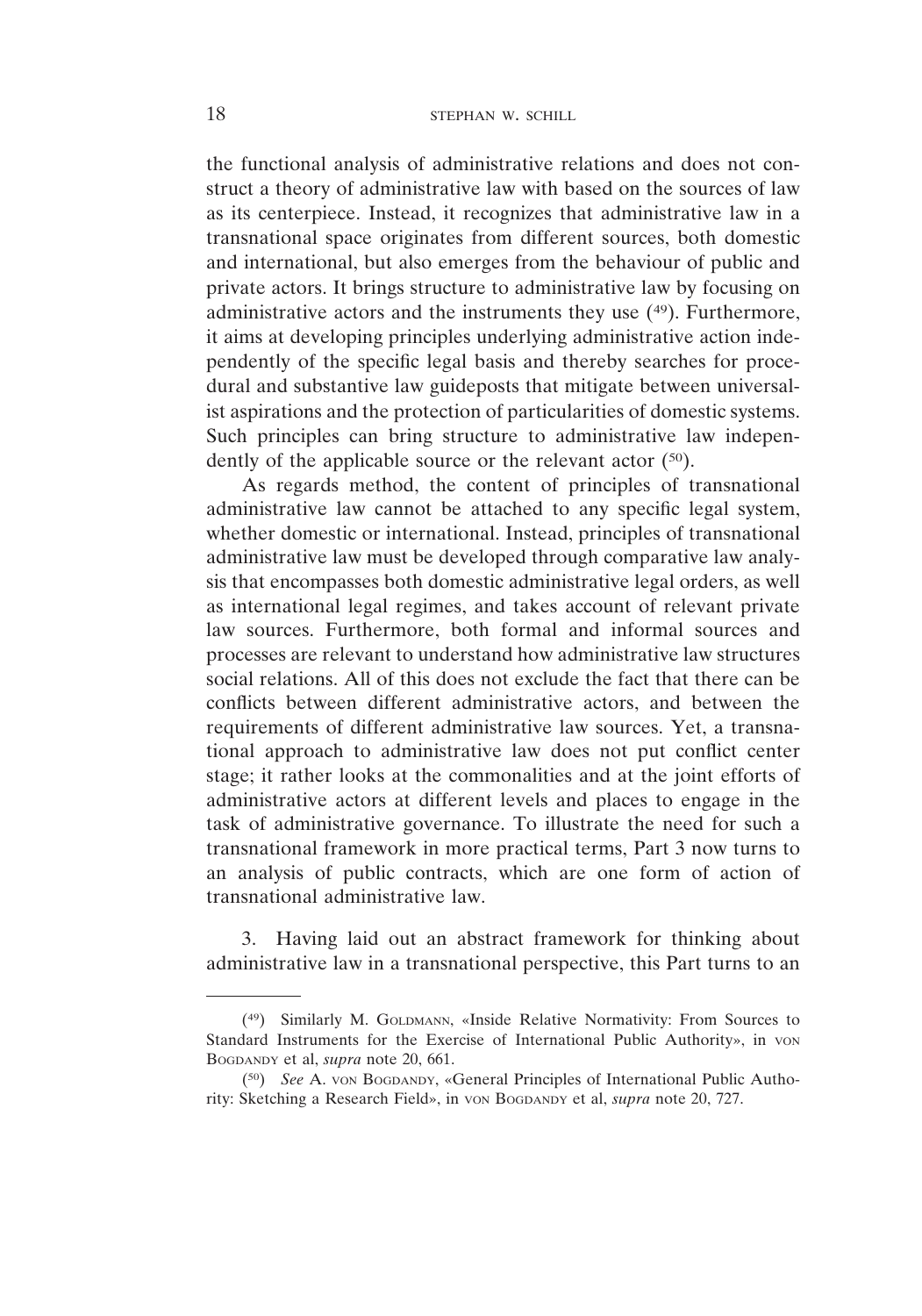the functional analysis of administrative relations and does not construct a theory of administrative law with based on the sources of law as its centerpiece. Instead, it recognizes that administrative law in a transnational space originates from different sources, both domestic and international, but also emerges from the behaviour of public and private actors. It brings structure to administrative law by focusing on administrative actors and the instruments they use (49). Furthermore, it aims at developing principles underlying administrative action independently of the specific legal basis and thereby searches for procedural and substantive law guideposts that mitigate between universalist aspirations and the protection of particularities of domestic systems. Such principles can bring structure to administrative law independently of the applicable source or the relevant actor (50).

As regards method, the content of principles of transnational administrative law cannot be attached to any specific legal system, whether domestic or international. Instead, principles of transnational administrative law must be developed through comparative law analysis that encompasses both domestic administrative legal orders, as well as international legal regimes, and takes account of relevant private law sources. Furthermore, both formal and informal sources and processes are relevant to understand how administrative law structures social relations. All of this does not exclude the fact that there can be conflicts between different administrative actors, and between the requirements of different administrative law sources. Yet, a transnational approach to administrative law does not put conflict center stage; it rather looks at the commonalities and at the joint efforts of administrative actors at different levels and places to engage in the task of administrative governance. To illustrate the need for such a transnational framework in more practical terms, Part 3 now turns to an analysis of public contracts, which are one form of action of transnational administrative law.

3. Having laid out an abstract framework for thinking about administrative law in a transnational perspective, this Part turns to an

<sup>(49)</sup> Similarly M. GOLDMANN, «Inside Relative Normativity: From Sources to Standard Instruments for the Exercise of International Public Authority», in von BOGDANDY et al, *supra* note 20, 661.

<sup>(50)</sup> *See* A. VON BOGDANDY, «General Principles of International Public Authority: Sketching a Research Field», in VON BOGDANDY et al, *supra* note 20, 727.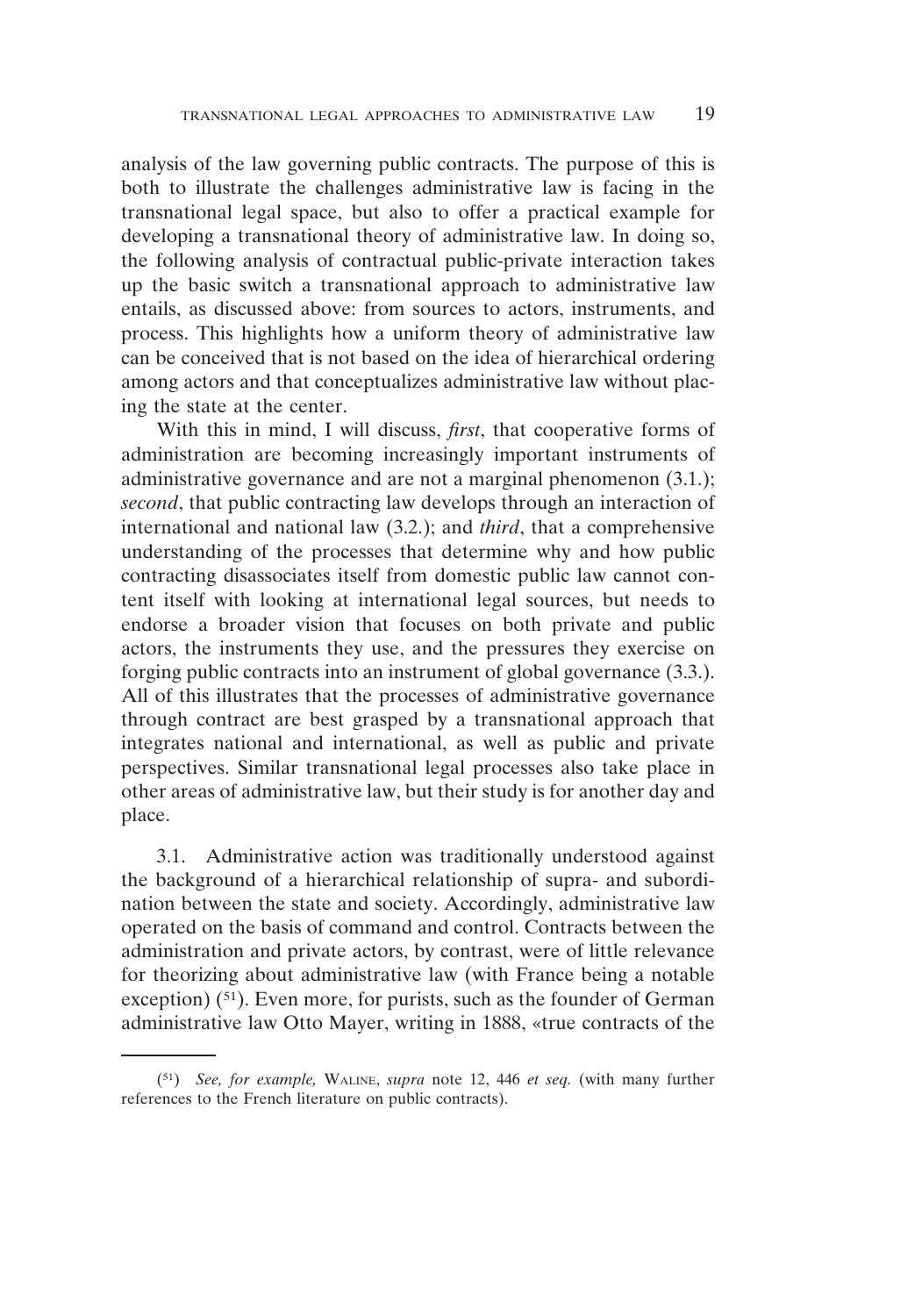analysis of the law governing public contracts. The purpose of this is both to illustrate the challenges administrative law is facing in the transnational legal space, but also to offer a practical example for developing a transnational theory of administrative law. In doing so, the following analysis of contractual public-private interaction takes up the basic switch a transnational approach to administrative law entails, as discussed above: from sources to actors, instruments, and process. This highlights how a uniform theory of administrative law can be conceived that is not based on the idea of hierarchical ordering among actors and that conceptualizes administrative law without placing the state at the center.

With this in mind, I will discuss, *first*, that cooperative forms of administration are becoming increasingly important instruments of administrative governance and are not a marginal phenomenon (3.1.); *second*, that public contracting law develops through an interaction of international and national law (3.2.); and *third*, that a comprehensive understanding of the processes that determine why and how public contracting disassociates itself from domestic public law cannot content itself with looking at international legal sources, but needs to endorse a broader vision that focuses on both private and public actors, the instruments they use, and the pressures they exercise on forging public contracts into an instrument of global governance (3.3.). All of this illustrates that the processes of administrative governance through contract are best grasped by a transnational approach that integrates national and international, as well as public and private perspectives. Similar transnational legal processes also take place in other areas of administrative law, but their study is for another day and place.

3.1. Administrative action was traditionally understood against the background of a hierarchical relationship of supra- and subordination between the state and society. Accordingly, administrative law operated on the basis of command and control. Contracts between the administration and private actors, by contrast, were of little relevance for theorizing about administrative law (with France being a notable exception) (<sup>51</sup>). Even more, for purists, such as the founder of German administrative law Otto Mayer, writing in 1888, «true contracts of the

<sup>(51)</sup> *See, for example,* WALINE, *supra* note 12, 446 *et seq.* (with many further references to the French literature on public contracts).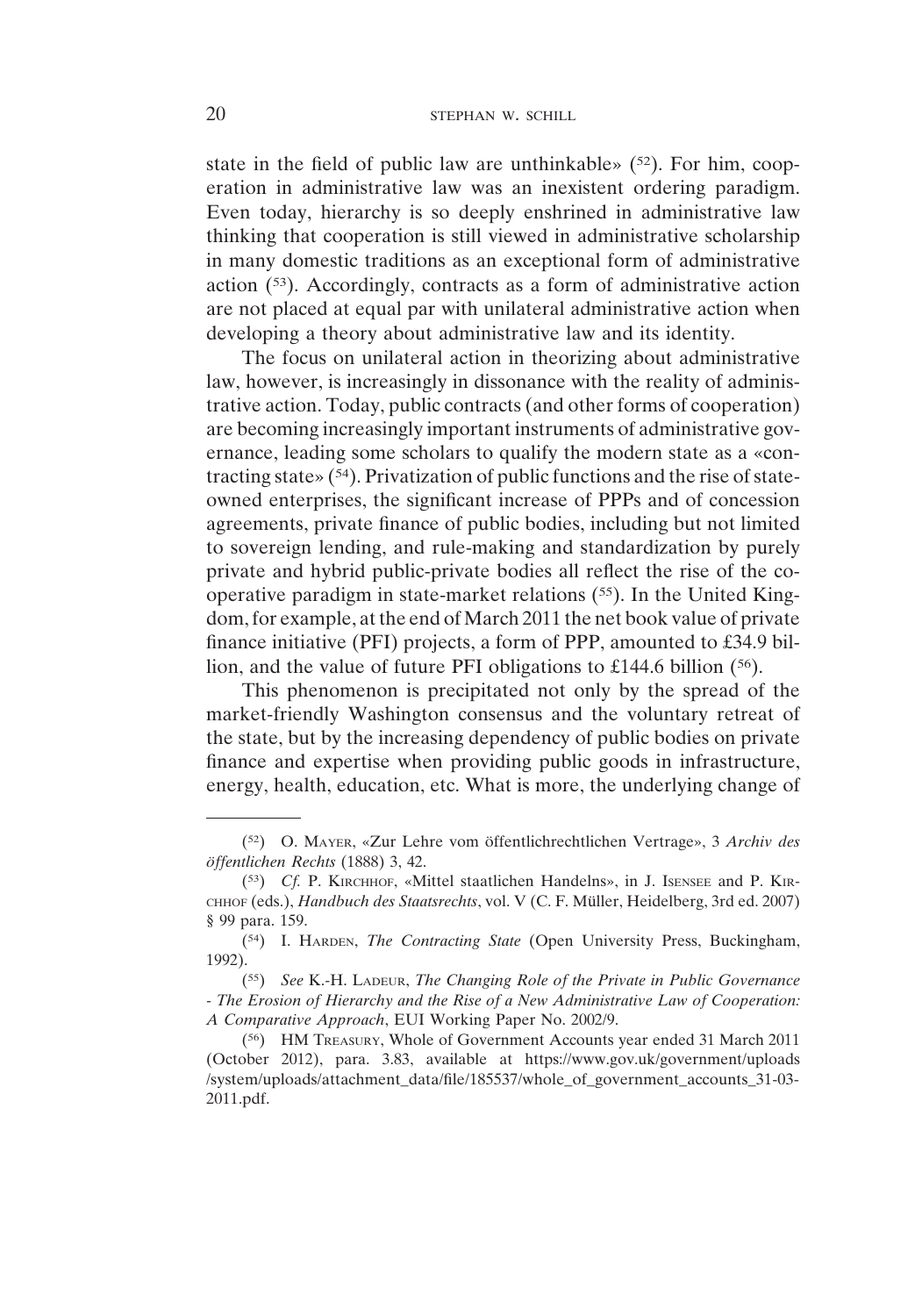state in the field of public law are unthinkable»  $(52)$ . For him, cooperation in administrative law was an inexistent ordering paradigm. Even today, hierarchy is so deeply enshrined in administrative law thinking that cooperation is still viewed in administrative scholarship in many domestic traditions as an exceptional form of administrative action (53). Accordingly, contracts as a form of administrative action are not placed at equal par with unilateral administrative action when developing a theory about administrative law and its identity.

The focus on unilateral action in theorizing about administrative law, however, is increasingly in dissonance with the reality of administrative action. Today, public contracts (and other forms of cooperation) are becoming increasingly important instruments of administrative governance, leading some scholars to qualify the modern state as a «contracting state» (54). Privatization of public functions and the rise of stateowned enterprises, the significant increase of PPPs and of concession agreements, private finance of public bodies, including but not limited to sovereign lending, and rule-making and standardization by purely private and hybrid public-private bodies all reflect the rise of the cooperative paradigm in state-market relations (55). In the United Kingdom, for example, at the end of March 2011 the net book value of private finance initiative (PFI) projects, a form of PPP, amounted to £34.9 billion, and the value of future PFI obligations to £144.6 billion (56).

This phenomenon is precipitated not only by the spread of the market-friendly Washington consensus and the voluntary retreat of the state, but by the increasing dependency of public bodies on private finance and expertise when providing public goods in infrastructure, energy, health, education, etc. What is more, the underlying change of

<sup>(52)</sup> O. MAYER, «Zur Lehre vom öffentlichrechtlichen Vertrage», 3 *Archiv des öffentlichen Rechts* (1888) 3, 42.

<sup>(53)</sup> *Cf.* P. KIRCHHOF, «Mittel staatlichen Handelns», in J. ISENSEE and P. KIR-CHHOF (eds.), *Handbuch des Staatsrechts*, vol. V (C. F. Müller, Heidelberg, 3rd ed. 2007) § 99 para. 159.

<sup>(54)</sup> I. HARDEN, *The Contracting State* (Open University Press, Buckingham, 1992).

<sup>(55)</sup> *See* K.-H. LADEUR, *The Changing Role of the Private in Public Governance - The Erosion of Hierarchy and the Rise of a New Administrative Law of Cooperation: A Comparative Approach*, EUI Working Paper No. 2002/9.

<sup>(56)</sup> HM TREASURY, Whole of Government Accounts year ended 31 March 2011 (October 2012), para. 3.83, available at https://www.gov.uk/government/uploads /system/uploads/attachment\_data/file/185537/whole\_of\_government\_accounts\_31-03- 2011.pdf.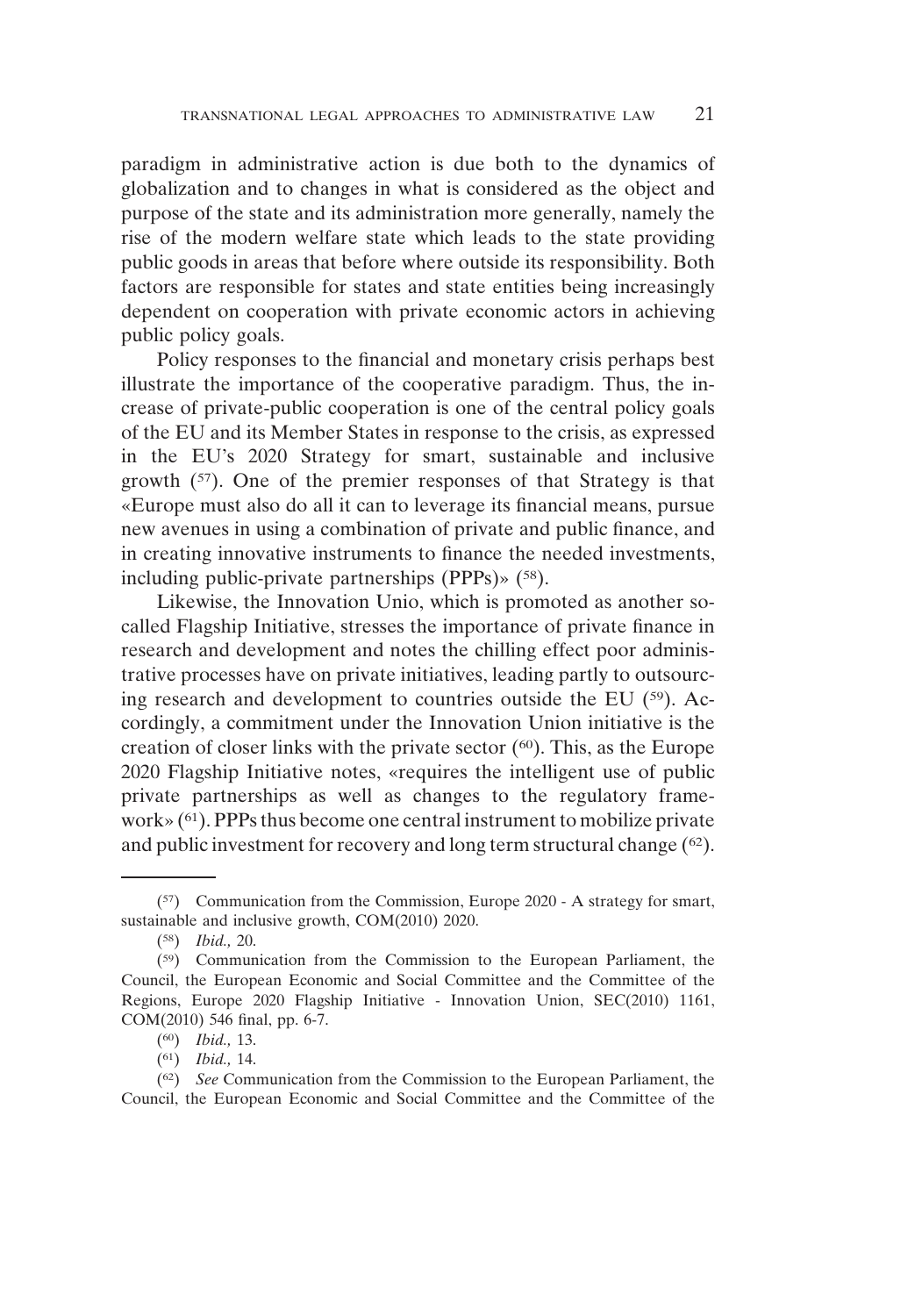paradigm in administrative action is due both to the dynamics of globalization and to changes in what is considered as the object and purpose of the state and its administration more generally, namely the rise of the modern welfare state which leads to the state providing public goods in areas that before where outside its responsibility. Both factors are responsible for states and state entities being increasingly dependent on cooperation with private economic actors in achieving public policy goals.

Policy responses to the financial and monetary crisis perhaps best illustrate the importance of the cooperative paradigm. Thus, the increase of private-public cooperation is one of the central policy goals of the EU and its Member States in response to the crisis, as expressed in the EU's 2020 Strategy for smart, sustainable and inclusive growth (57). One of the premier responses of that Strategy is that «Europe must also do all it can to leverage its financial means, pursue new avenues in using a combination of private and public finance, and in creating innovative instruments to finance the needed investments, including public-private partnerships (PPPs)» (58).

Likewise, the Innovation Unio, which is promoted as another socalled Flagship Initiative, stresses the importance of private finance in research and development and notes the chilling effect poor administrative processes have on private initiatives, leading partly to outsourcing research and development to countries outside the EU (59). Accordingly, a commitment under the Innovation Union initiative is the creation of closer links with the private sector  $(60)$ . This, as the Europe 2020 Flagship Initiative notes, «requires the intelligent use of public private partnerships as well as changes to the regulatory framework» (61). PPPs thus become one central instrument to mobilize private and public investment for recovery and long term structural change (62).

<sup>(57)</sup> Communication from the Commission, Europe 2020 - A strategy for smart, sustainable and inclusive growth, COM(2010) 2020.

<sup>(58)</sup> *Ibid.,* 20.

<sup>(59)</sup> Communication from the Commission to the European Parliament, the Council, the European Economic and Social Committee and the Committee of the Regions, Europe 2020 Flagship Initiative - Innovation Union, SEC(2010) 1161, COM(2010) 546 final, pp. 6-7.

<sup>(60)</sup> *Ibid.,* 13.

<sup>(61)</sup> *Ibid.,* 14.

<sup>(62)</sup> *See* Communication from the Commission to the European Parliament, the Council, the European Economic and Social Committee and the Committee of the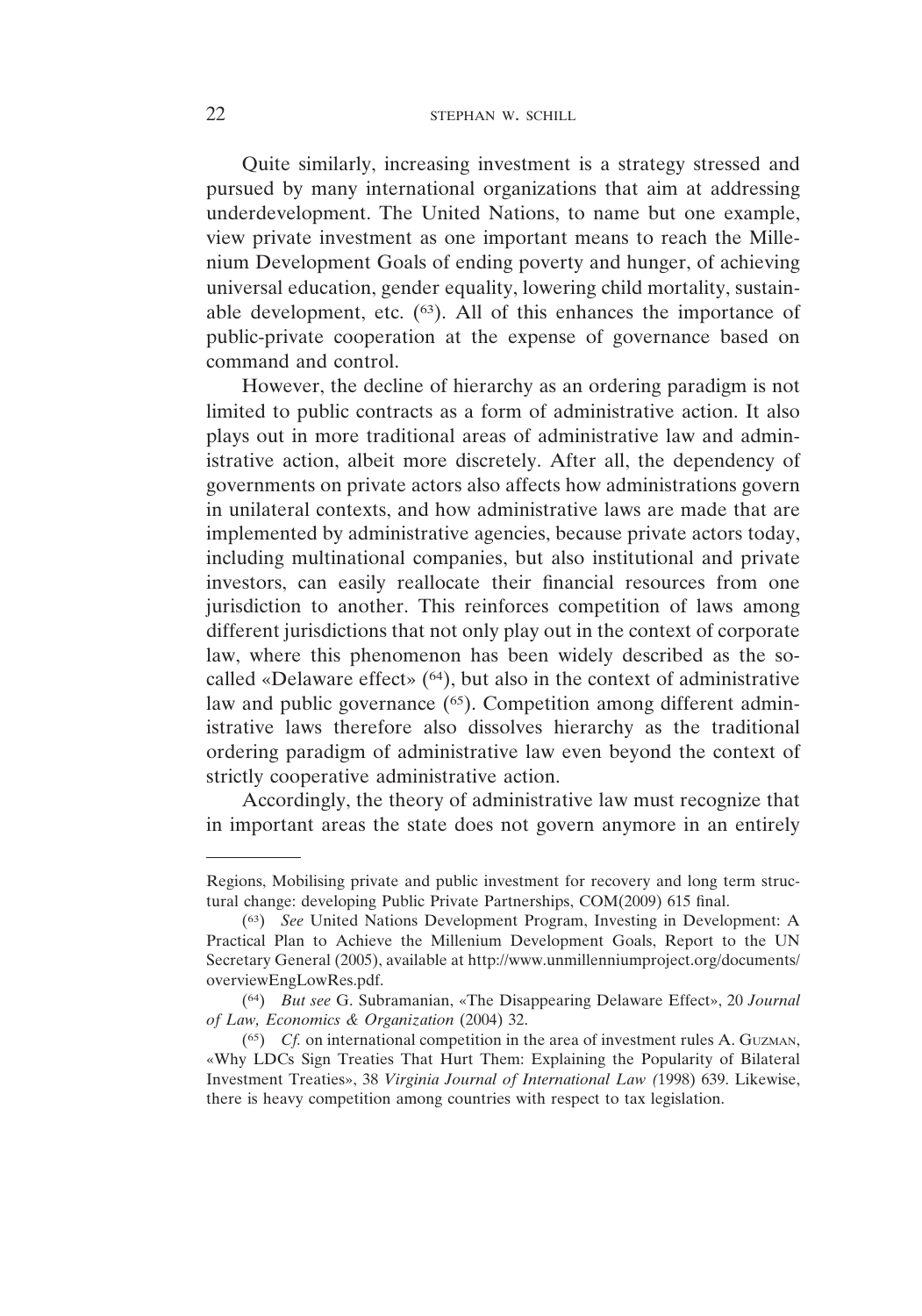#### 22 STEPHAN W. SCHILL

Quite similarly, increasing investment is a strategy stressed and pursued by many international organizations that aim at addressing underdevelopment. The United Nations, to name but one example, view private investment as one important means to reach the Millenium Development Goals of ending poverty and hunger, of achieving universal education, gender equality, lowering child mortality, sustainable development, etc.  $(63)$ . All of this enhances the importance of public-private cooperation at the expense of governance based on command and control.

However, the decline of hierarchy as an ordering paradigm is not limited to public contracts as a form of administrative action. It also plays out in more traditional areas of administrative law and administrative action, albeit more discretely. After all, the dependency of governments on private actors also affects how administrations govern in unilateral contexts, and how administrative laws are made that are implemented by administrative agencies, because private actors today, including multinational companies, but also institutional and private investors, can easily reallocate their financial resources from one jurisdiction to another. This reinforces competition of laws among different jurisdictions that not only play out in the context of corporate law, where this phenomenon has been widely described as the socalled «Delaware effect»  $(64)$ , but also in the context of administrative law and public governance (<sup>65</sup>). Competition among different administrative laws therefore also dissolves hierarchy as the traditional ordering paradigm of administrative law even beyond the context of strictly cooperative administrative action.

Accordingly, the theory of administrative law must recognize that in important areas the state does not govern anymore in an entirely

Regions, Mobilising private and public investment for recovery and long term structural change: developing Public Private Partnerships, COM(2009) 615 final.

<sup>(63)</sup> *See* United Nations Development Program, Investing in Development: A Practical Plan to Achieve the Millenium Development Goals, Report to the UN Secretary General (2005), available at http://www.unmillenniumproject.org/documents/ overviewEngLowRes.pdf.

<sup>(64)</sup> *But see* G. Subramanian, «The Disappearing Delaware Effect», 20 *Journal of Law, Economics & Organization* (2004) 32.

 $(65)$  *Cf.* on international competition in the area of investment rules A. GUZMAN, «Why LDCs Sign Treaties That Hurt Them: Explaining the Popularity of Bilateral Investment Treaties», 38 *Virginia Journal of International Law (*1998) 639. Likewise, there is heavy competition among countries with respect to tax legislation.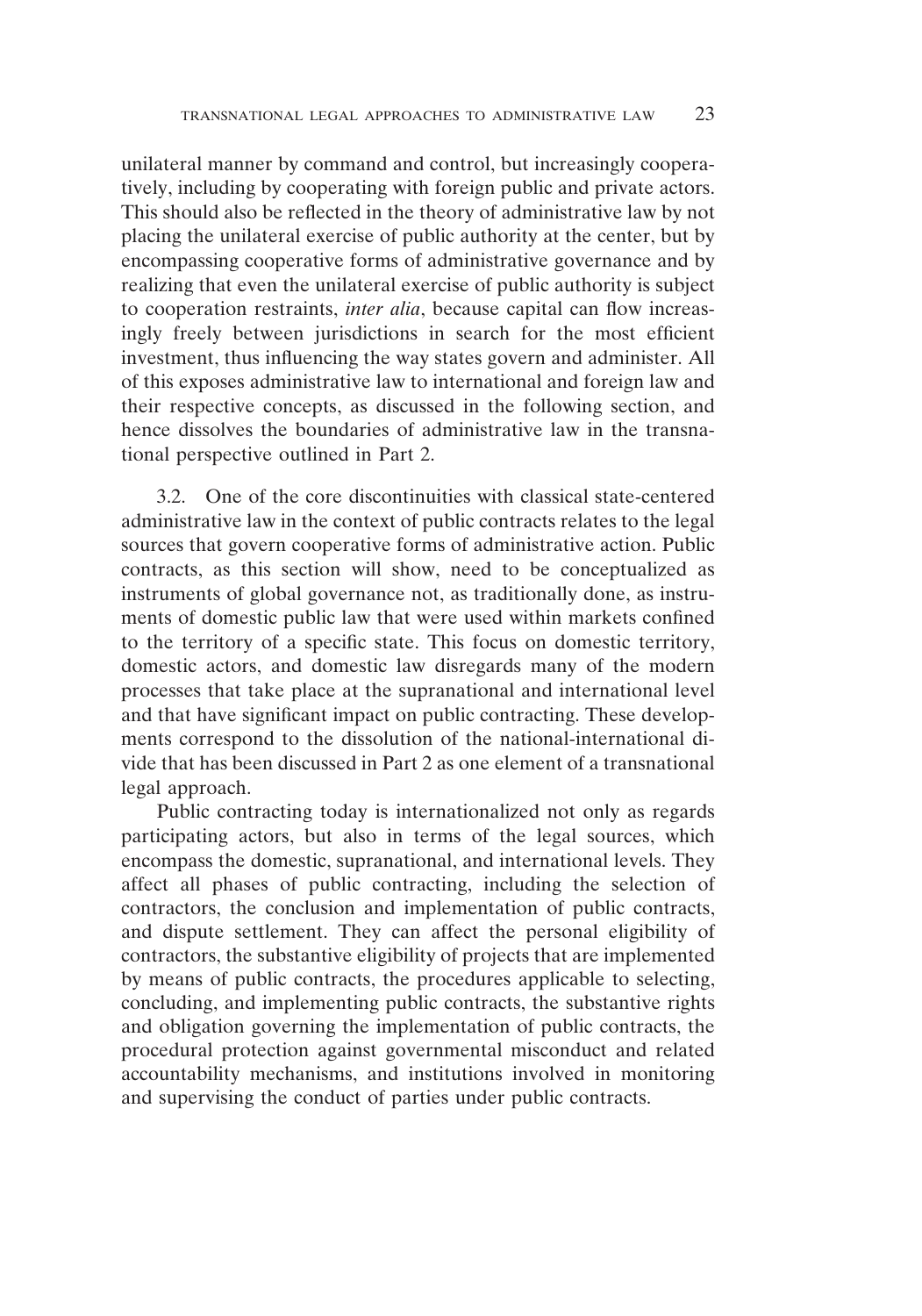unilateral manner by command and control, but increasingly cooperatively, including by cooperating with foreign public and private actors. This should also be reflected in the theory of administrative law by not placing the unilateral exercise of public authority at the center, but by encompassing cooperative forms of administrative governance and by realizing that even the unilateral exercise of public authority is subject to cooperation restraints, *inter alia*, because capital can flow increasingly freely between jurisdictions in search for the most efficient investment, thus influencing the way states govern and administer. All of this exposes administrative law to international and foreign law and their respective concepts, as discussed in the following section, and hence dissolves the boundaries of administrative law in the transnational perspective outlined in Part 2.

3.2. One of the core discontinuities with classical state-centered administrative law in the context of public contracts relates to the legal sources that govern cooperative forms of administrative action. Public contracts, as this section will show, need to be conceptualized as instruments of global governance not, as traditionally done, as instruments of domestic public law that were used within markets confined to the territory of a specific state. This focus on domestic territory, domestic actors, and domestic law disregards many of the modern processes that take place at the supranational and international level and that have significant impact on public contracting. These developments correspond to the dissolution of the national-international divide that has been discussed in Part 2 as one element of a transnational legal approach.

Public contracting today is internationalized not only as regards participating actors, but also in terms of the legal sources, which encompass the domestic, supranational, and international levels. They affect all phases of public contracting, including the selection of contractors, the conclusion and implementation of public contracts, and dispute settlement. They can affect the personal eligibility of contractors, the substantive eligibility of projects that are implemented by means of public contracts, the procedures applicable to selecting, concluding, and implementing public contracts, the substantive rights and obligation governing the implementation of public contracts, the procedural protection against governmental misconduct and related accountability mechanisms, and institutions involved in monitoring and supervising the conduct of parties under public contracts.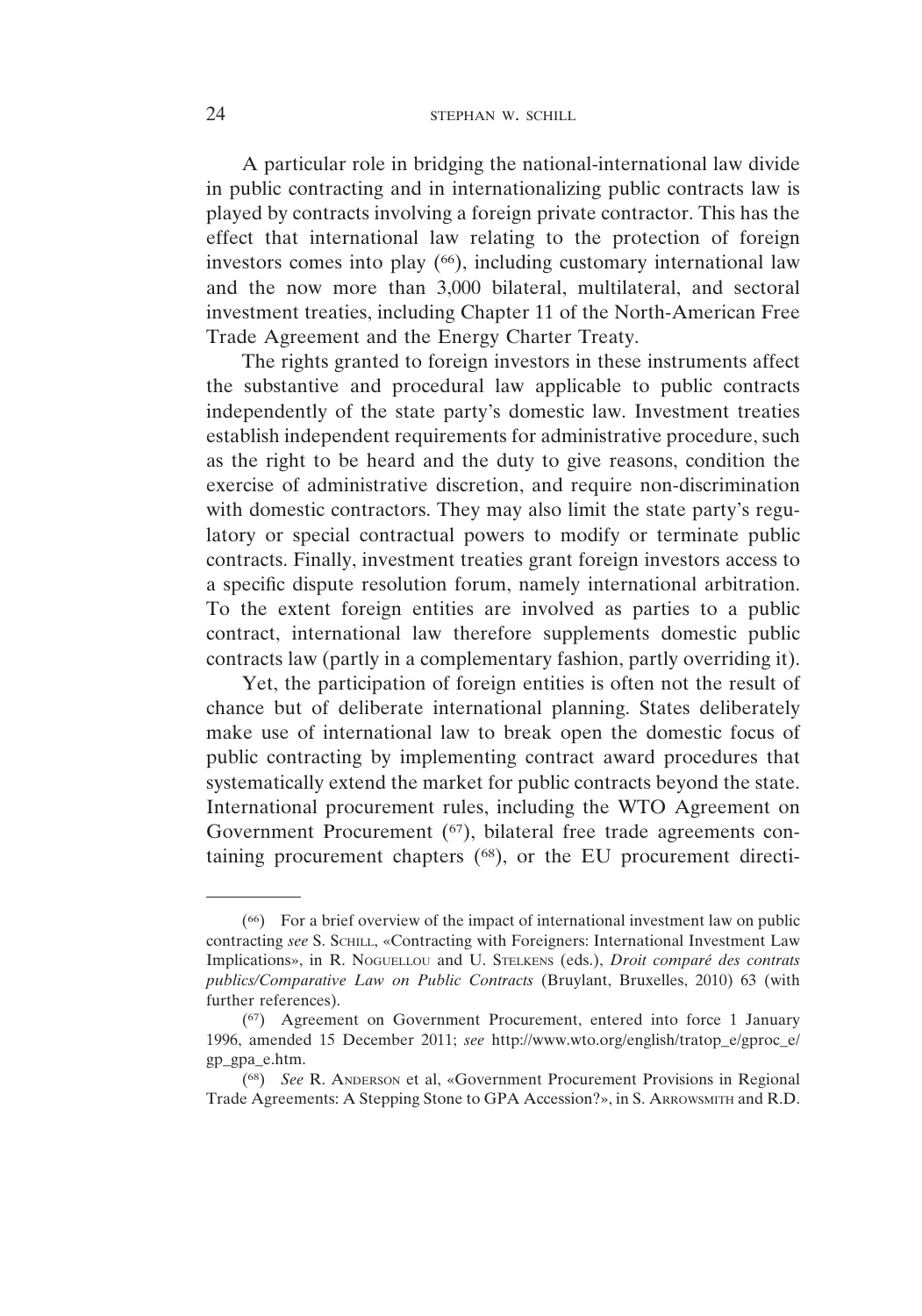#### 24 STEPHAN W. SCHILL

A particular role in bridging the national-international law divide in public contracting and in internationalizing public contracts law is played by contracts involving a foreign private contractor. This has the effect that international law relating to the protection of foreign investors comes into play  $(66)$ , including customary international law and the now more than 3,000 bilateral, multilateral, and sectoral investment treaties, including Chapter 11 of the North-American Free Trade Agreement and the Energy Charter Treaty.

The rights granted to foreign investors in these instruments affect the substantive and procedural law applicable to public contracts independently of the state party's domestic law. Investment treaties establish independent requirements for administrative procedure, such as the right to be heard and the duty to give reasons, condition the exercise of administrative discretion, and require non-discrimination with domestic contractors. They may also limit the state party's regulatory or special contractual powers to modify or terminate public contracts. Finally, investment treaties grant foreign investors access to a specific dispute resolution forum, namely international arbitration. To the extent foreign entities are involved as parties to a public contract, international law therefore supplements domestic public contracts law (partly in a complementary fashion, partly overriding it).

Yet, the participation of foreign entities is often not the result of chance but of deliberate international planning. States deliberately make use of international law to break open the domestic focus of public contracting by implementing contract award procedures that systematically extend the market for public contracts beyond the state. International procurement rules, including the WTO Agreement on Government Procurement (<sup>67</sup>), bilateral free trade agreements containing procurement chapters (68), or the EU procurement directi-

<sup>(66)</sup> For a brief overview of the impact of international investment law on public contracting *see* S. SCHILL, «Contracting with Foreigners: International Investment Law Implications», in R. NOGUELLOU and U. STELKENS (eds.), *Droit comparé des contrats publics/Comparative Law on Public Contracts* (Bruylant, Bruxelles, 2010) 63 (with further references).

<sup>(67)</sup> Agreement on Government Procurement, entered into force 1 January 1996, amended 15 December 2011; *see* http://www.wto.org/english/tratop\_e/gproc\_e/ gp\_gpa\_e.htm.

<sup>(68)</sup> *See* R. ANDERSON et al, «Government Procurement Provisions in Regional Trade Agreements: A Stepping Stone to GPA Accession?», in S. ARROWSMITH and R.D.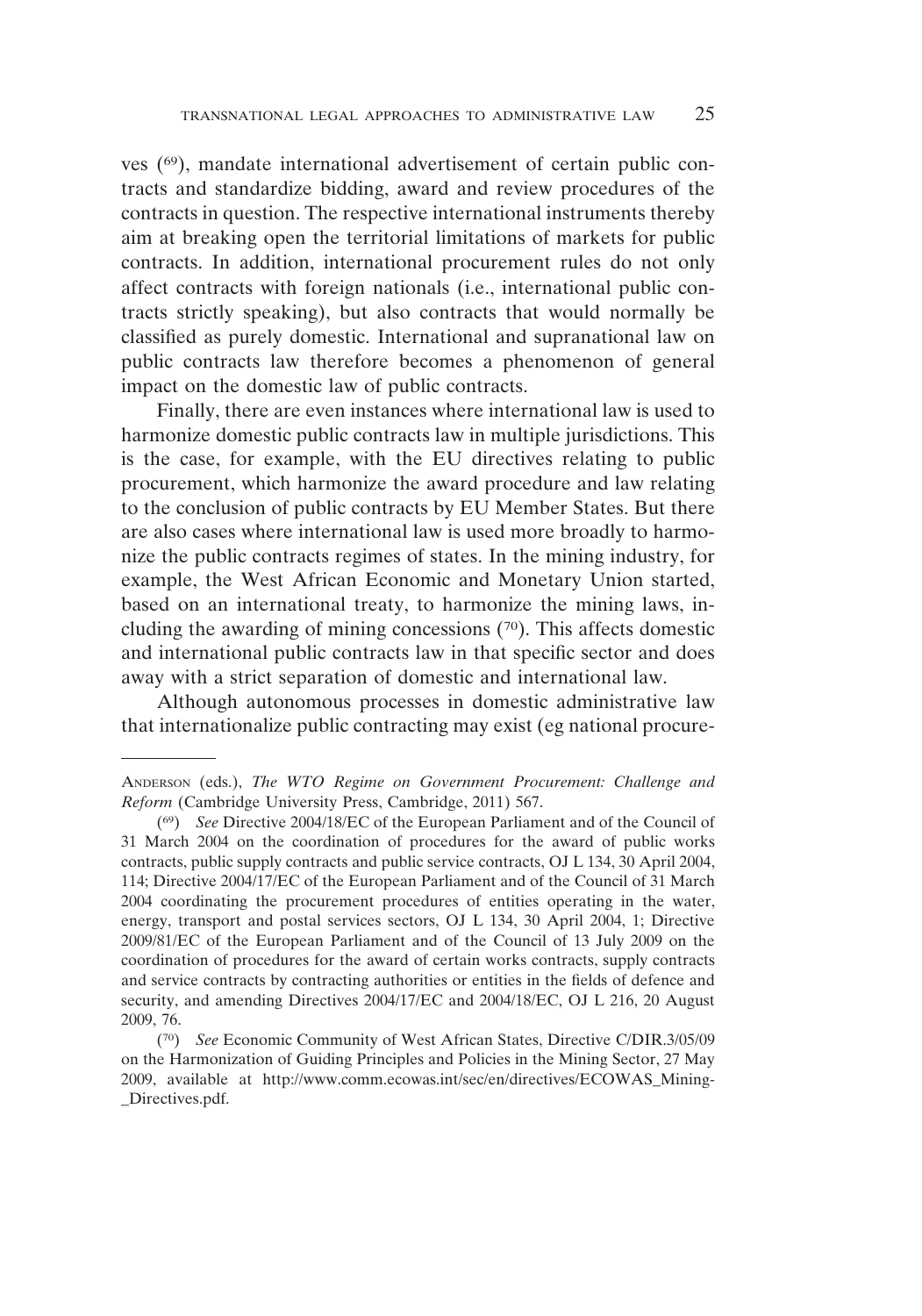ves (69), mandate international advertisement of certain public contracts and standardize bidding, award and review procedures of the contracts in question. The respective international instruments thereby aim at breaking open the territorial limitations of markets for public contracts. In addition, international procurement rules do not only affect contracts with foreign nationals (i.e., international public contracts strictly speaking), but also contracts that would normally be classified as purely domestic. International and supranational law on public contracts law therefore becomes a phenomenon of general impact on the domestic law of public contracts.

Finally, there are even instances where international law is used to harmonize domestic public contracts law in multiple jurisdictions. This is the case, for example, with the EU directives relating to public procurement, which harmonize the award procedure and law relating to the conclusion of public contracts by EU Member States. But there are also cases where international law is used more broadly to harmonize the public contracts regimes of states. In the mining industry, for example, the West African Economic and Monetary Union started, based on an international treaty, to harmonize the mining laws, including the awarding of mining concessions (70). This affects domestic and international public contracts law in that specific sector and does away with a strict separation of domestic and international law.

Although autonomous processes in domestic administrative law that internationalize public contracting may exist (eg national procure-

ANDERSON (eds.), *The WTO Regime on Government Procurement: Challenge and Reform* (Cambridge University Press, Cambridge, 2011) 567.

<sup>(69)</sup> *See* Directive 2004/18/EC of the European Parliament and of the Council of 31 March 2004 on the coordination of procedures for the award of public works contracts, public supply contracts and public service contracts, OJ L 134, 30 April 2004, 114; Directive 2004/17/EC of the European Parliament and of the Council of 31 March 2004 coordinating the procurement procedures of entities operating in the water, energy, transport and postal services sectors, OJ L 134, 30 April 2004, 1; Directive 2009/81/EC of the European Parliament and of the Council of 13 July 2009 on the coordination of procedures for the award of certain works contracts, supply contracts and service contracts by contracting authorities or entities in the fields of defence and security, and amending Directives 2004/17/EC and 2004/18/EC, OJ L 216, 20 August 2009, 76.

<sup>(70)</sup> *See* Economic Community of West African States, Directive C/DIR.3/05/09 on the Harmonization of Guiding Principles and Policies in the Mining Sector, 27 May 2009, available at http://www.comm.ecowas.int/sec/en/directives/ECOWAS\_Mining- \_Directives.pdf.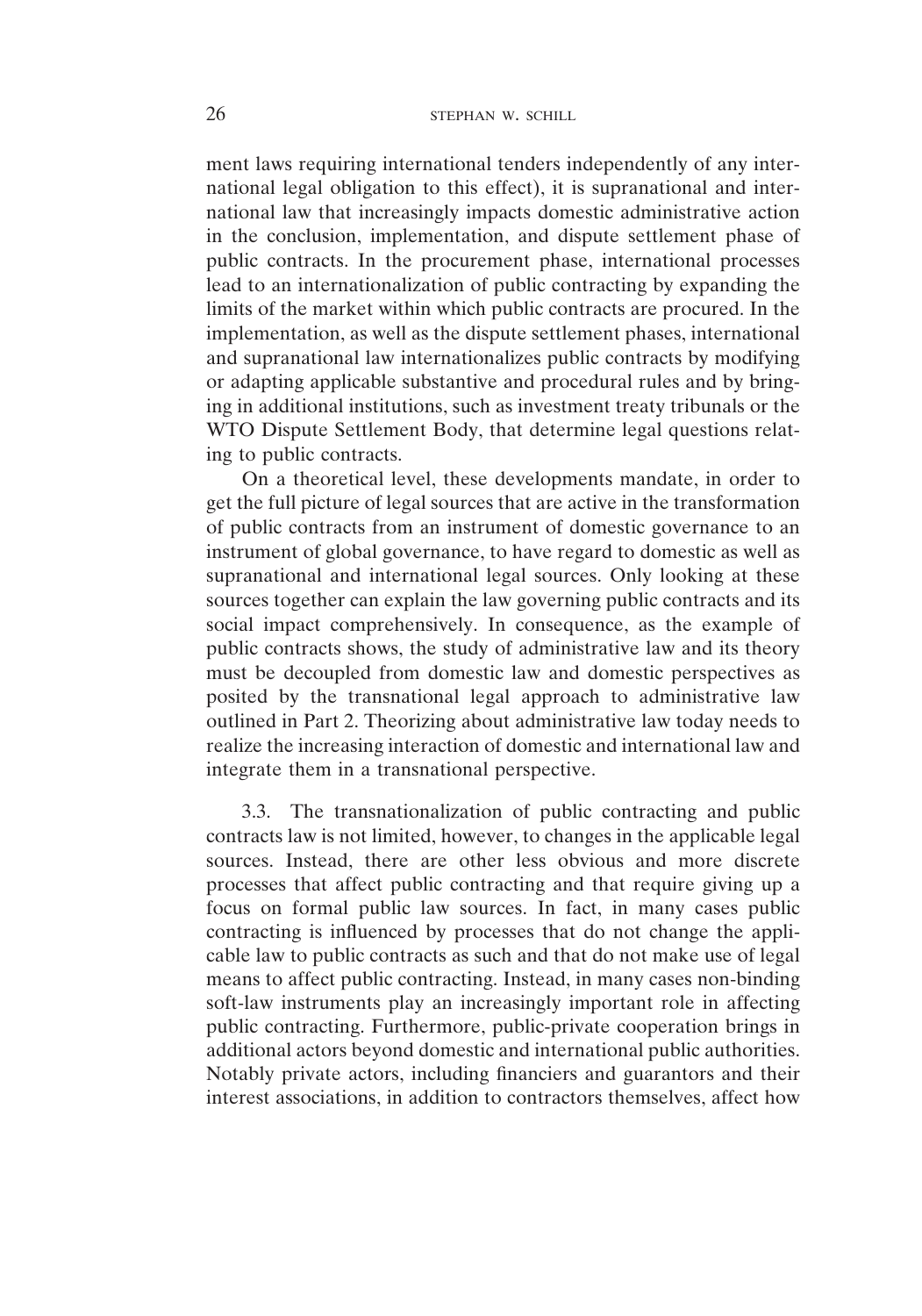ment laws requiring international tenders independently of any international legal obligation to this effect), it is supranational and international law that increasingly impacts domestic administrative action in the conclusion, implementation, and dispute settlement phase of public contracts. In the procurement phase, international processes lead to an internationalization of public contracting by expanding the limits of the market within which public contracts are procured. In the implementation, as well as the dispute settlement phases, international and supranational law internationalizes public contracts by modifying or adapting applicable substantive and procedural rules and by bringing in additional institutions, such as investment treaty tribunals or the WTO Dispute Settlement Body, that determine legal questions relating to public contracts.

On a theoretical level, these developments mandate, in order to get the full picture of legal sources that are active in the transformation of public contracts from an instrument of domestic governance to an instrument of global governance, to have regard to domestic as well as supranational and international legal sources. Only looking at these sources together can explain the law governing public contracts and its social impact comprehensively. In consequence, as the example of public contracts shows, the study of administrative law and its theory must be decoupled from domestic law and domestic perspectives as posited by the transnational legal approach to administrative law outlined in Part 2. Theorizing about administrative law today needs to realize the increasing interaction of domestic and international law and integrate them in a transnational perspective.

3.3. The transnationalization of public contracting and public contracts law is not limited, however, to changes in the applicable legal sources. Instead, there are other less obvious and more discrete processes that affect public contracting and that require giving up a focus on formal public law sources. In fact, in many cases public contracting is influenced by processes that do not change the applicable law to public contracts as such and that do not make use of legal means to affect public contracting. Instead, in many cases non-binding soft-law instruments play an increasingly important role in affecting public contracting. Furthermore, public-private cooperation brings in additional actors beyond domestic and international public authorities. Notably private actors, including financiers and guarantors and their interest associations, in addition to contractors themselves, affect how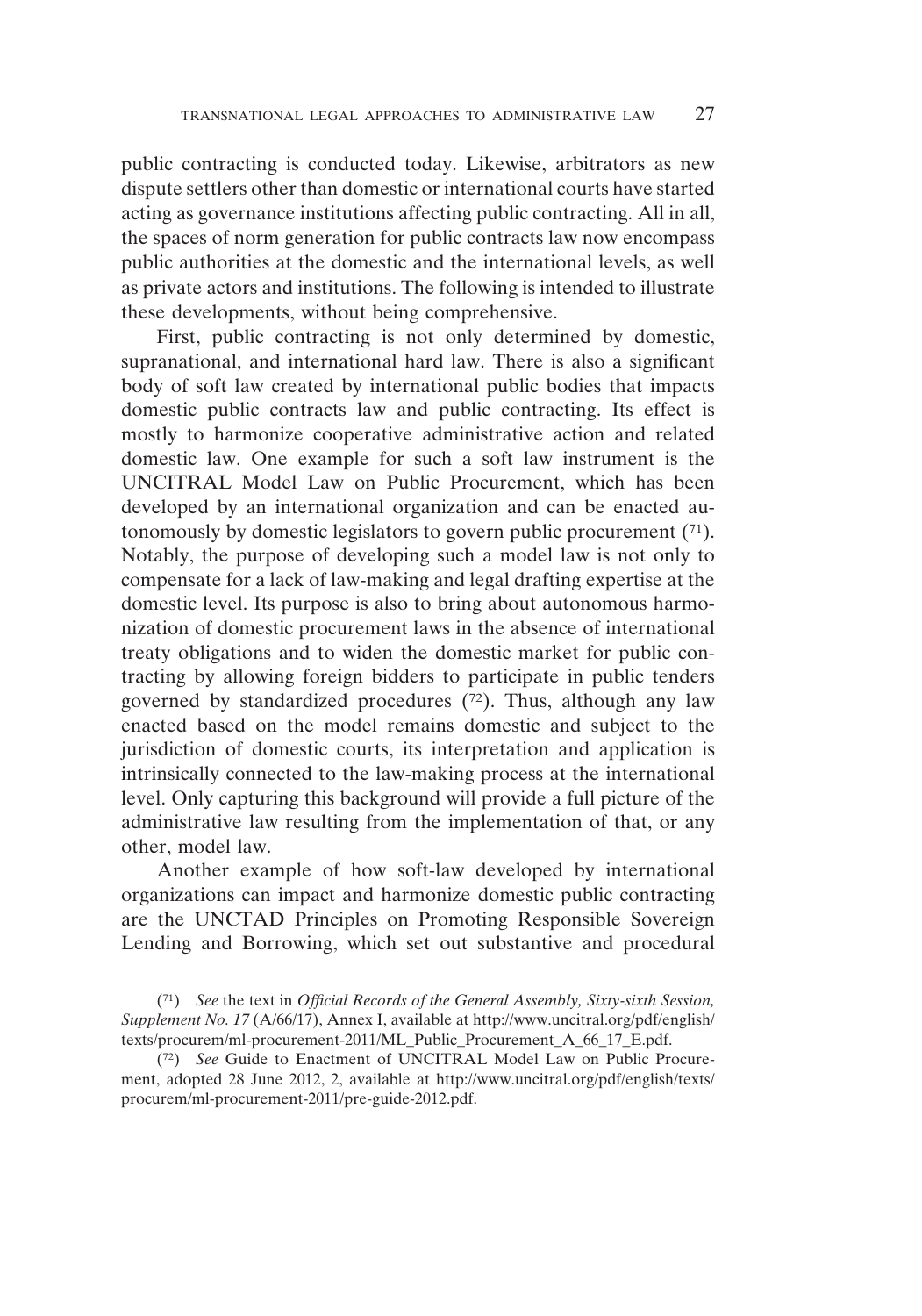public contracting is conducted today. Likewise, arbitrators as new dispute settlers other than domestic or international courts have started acting as governance institutions affecting public contracting. All in all, the spaces of norm generation for public contracts law now encompass public authorities at the domestic and the international levels, as well as private actors and institutions. The following is intended to illustrate these developments, without being comprehensive.

First, public contracting is not only determined by domestic, supranational, and international hard law. There is also a significant body of soft law created by international public bodies that impacts domestic public contracts law and public contracting. Its effect is mostly to harmonize cooperative administrative action and related domestic law. One example for such a soft law instrument is the UNCITRAL Model Law on Public Procurement, which has been developed by an international organization and can be enacted autonomously by domestic legislators to govern public procurement  $(71)$ . Notably, the purpose of developing such a model law is not only to compensate for a lack of law-making and legal drafting expertise at the domestic level. Its purpose is also to bring about autonomous harmonization of domestic procurement laws in the absence of international treaty obligations and to widen the domestic market for public contracting by allowing foreign bidders to participate in public tenders governed by standardized procedures (72). Thus, although any law enacted based on the model remains domestic and subject to the jurisdiction of domestic courts, its interpretation and application is intrinsically connected to the law-making process at the international level. Only capturing this background will provide a full picture of the administrative law resulting from the implementation of that, or any other, model law.

Another example of how soft-law developed by international organizations can impact and harmonize domestic public contracting are the UNCTAD Principles on Promoting Responsible Sovereign Lending and Borrowing, which set out substantive and procedural

<sup>(71)</sup> *See* the text in *Official Records of the General Assembly, Sixty-sixth Session, Supplement No. 17* (A/66/17), Annex I, available at http://www.uncitral.org/pdf/english/ texts/procurem/ml-procurement-2011/ML\_Public\_Procurement\_A\_66\_17\_E.pdf.

<sup>(72)</sup> *See* Guide to Enactment of UNCITRAL Model Law on Public Procurement, adopted 28 June 2012, 2, available at http://www.uncitral.org/pdf/english/texts/ procurem/ml-procurement-2011/pre-guide-2012.pdf.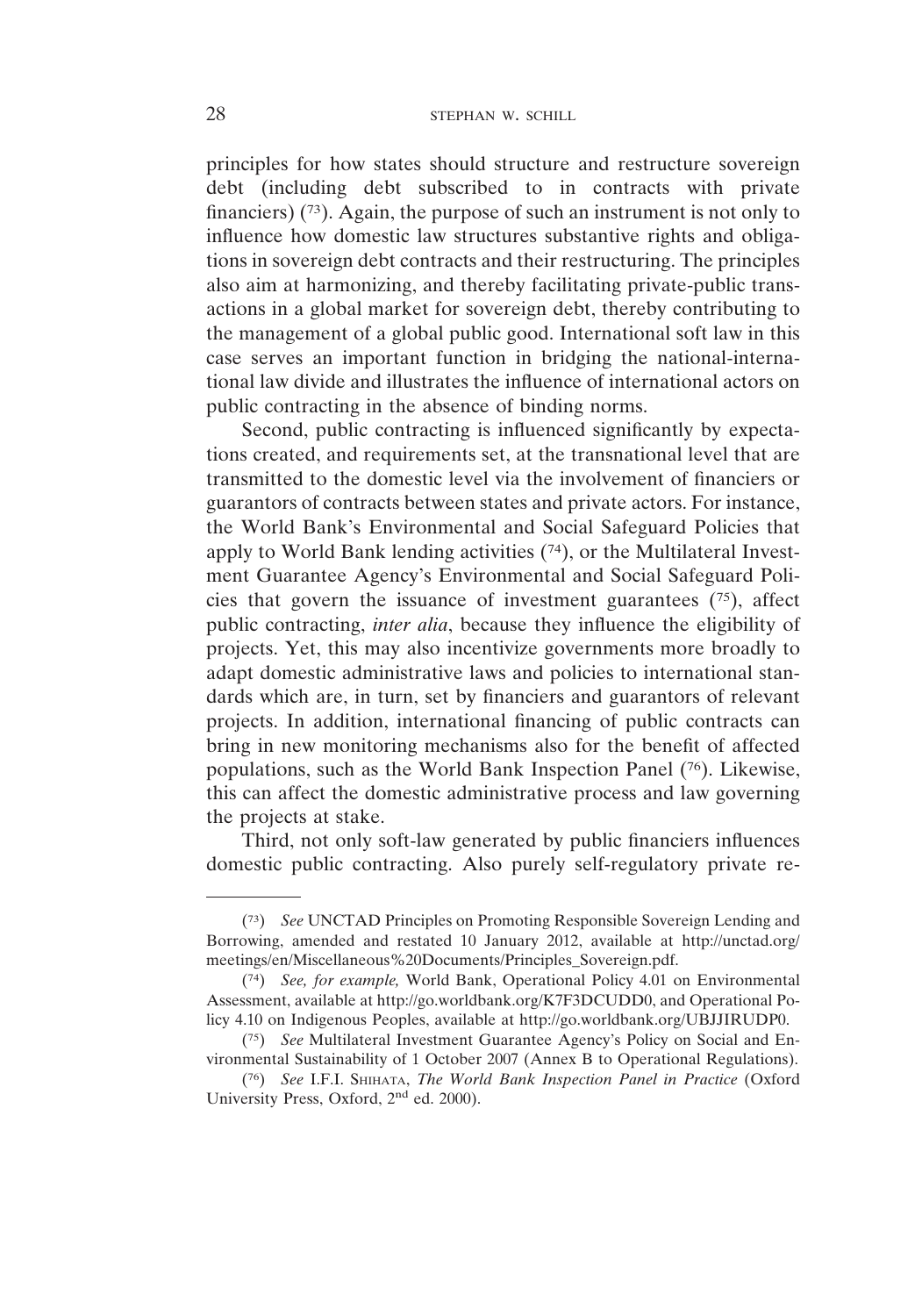principles for how states should structure and restructure sovereign debt (including debt subscribed to in contracts with private financiers)  $(73)$ . Again, the purpose of such an instrument is not only to influence how domestic law structures substantive rights and obligations in sovereign debt contracts and their restructuring. The principles also aim at harmonizing, and thereby facilitating private-public transactions in a global market for sovereign debt, thereby contributing to the management of a global public good. International soft law in this case serves an important function in bridging the national-international law divide and illustrates the influence of international actors on public contracting in the absence of binding norms.

Second, public contracting is influenced significantly by expectations created, and requirements set, at the transnational level that are transmitted to the domestic level via the involvement of financiers or guarantors of contracts between states and private actors. For instance, the World Bank's Environmental and Social Safeguard Policies that apply to World Bank lending activities (74), or the Multilateral Investment Guarantee Agency's Environmental and Social Safeguard Policies that govern the issuance of investment guarantees  $(75)$ , affect public contracting, *inter alia*, because they influence the eligibility of projects. Yet, this may also incentivize governments more broadly to adapt domestic administrative laws and policies to international standards which are, in turn, set by financiers and guarantors of relevant projects. In addition, international financing of public contracts can bring in new monitoring mechanisms also for the benefit of affected populations, such as the World Bank Inspection Panel (76). Likewise, this can affect the domestic administrative process and law governing the projects at stake.

Third, not only soft-law generated by public financiers influences domestic public contracting. Also purely self-regulatory private re-

<sup>(73)</sup> *See* UNCTAD Principles on Promoting Responsible Sovereign Lending and Borrowing, amended and restated 10 January 2012, available at http://unctad.org/ meetings/en/Miscellaneous%20Documents/Principles\_Sovereign.pdf.

<sup>(74)</sup> *See, for example,* World Bank, Operational Policy 4.01 on Environmental Assessment, available at http://go.worldbank.org/K7F3DCUDD0, and Operational Policy 4.10 on Indigenous Peoples, available at http://go.worldbank.org/UBJJIRUDP0.

<sup>(75)</sup> *See* Multilateral Investment Guarantee Agency's Policy on Social and Environmental Sustainability of 1 October 2007 (Annex B to Operational Regulations).

<sup>(76)</sup> *See* I.F.I. SHIHATA, *The World Bank Inspection Panel in Practice* (Oxford University Press, Oxford, 2nd ed. 2000).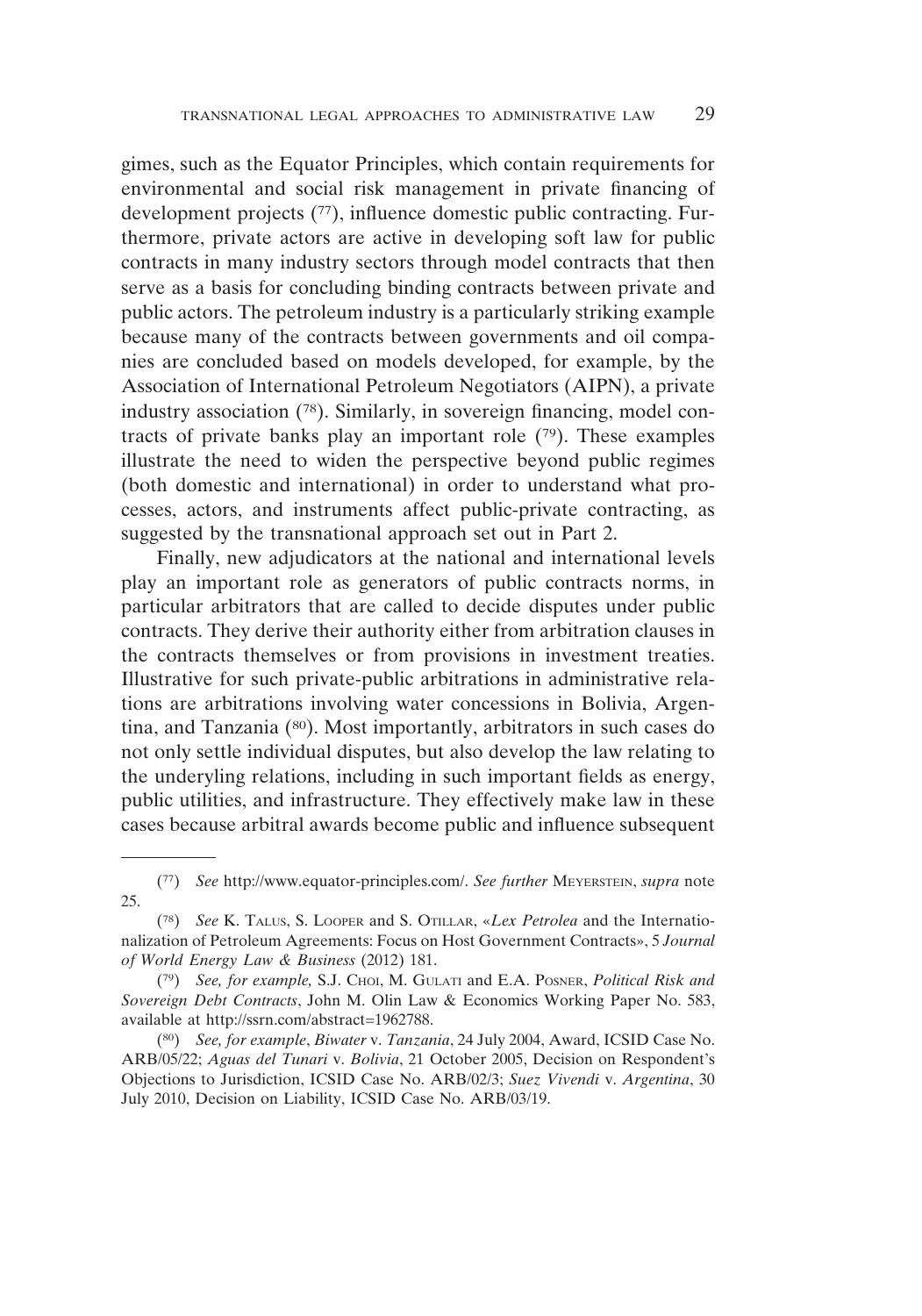gimes, such as the Equator Principles, which contain requirements for environmental and social risk management in private financing of development projects (77), influence domestic public contracting. Furthermore, private actors are active in developing soft law for public contracts in many industry sectors through model contracts that then serve as a basis for concluding binding contracts between private and public actors. The petroleum industry is a particularly striking example because many of the contracts between governments and oil companies are concluded based on models developed, for example, by the Association of International Petroleum Negotiators (AIPN), a private industry association (78). Similarly, in sovereign financing, model contracts of private banks play an important role  $(79)$ . These examples illustrate the need to widen the perspective beyond public regimes (both domestic and international) in order to understand what processes, actors, and instruments affect public-private contracting, as suggested by the transnational approach set out in Part 2.

Finally, new adjudicators at the national and international levels play an important role as generators of public contracts norms, in particular arbitrators that are called to decide disputes under public contracts. They derive their authority either from arbitration clauses in the contracts themselves or from provisions in investment treaties. Illustrative for such private-public arbitrations in administrative relations are arbitrations involving water concessions in Bolivia, Argentina, and Tanzania (80). Most importantly, arbitrators in such cases do not only settle individual disputes, but also develop the law relating to the underyling relations, including in such important fields as energy, public utilities, and infrastructure. They effectively make law in these cases because arbitral awards become public and influence subsequent

<sup>(77)</sup> *See* http://www.equator-principles.com/. *See further* MEYERSTEIN, *supra* note 25.

<sup>(78)</sup> *See* K. TALUS, S. LOOPER and S. OTILLAR, «*Lex Petrolea* and the Internationalization of Petroleum Agreements: Focus on Host Government Contracts», 5 *Journal of World Energy Law & Business* (2012) 181.

<sup>(79)</sup> *See, for example,* S.J. CHOI, M. GULATI and E.A. POSNER, *Political Risk and Sovereign Debt Contracts*, John M. Olin Law & Economics Working Paper No. 583, available at http://ssrn.com/abstract=1962788.

<sup>(80)</sup> *See, for example*, *Biwater* v. *Tanzania*, 24 July 2004, Award, ICSID Case No. ARB/05/22; *Aguas del Tunari* v. *Bolivia*, 21 October 2005, Decision on Respondent's Objections to Jurisdiction, ICSID Case No. ARB/02/3; *Suez Vivendi* v. *Argentina*, 30 July 2010, Decision on Liability, ICSID Case No. ARB/03/19.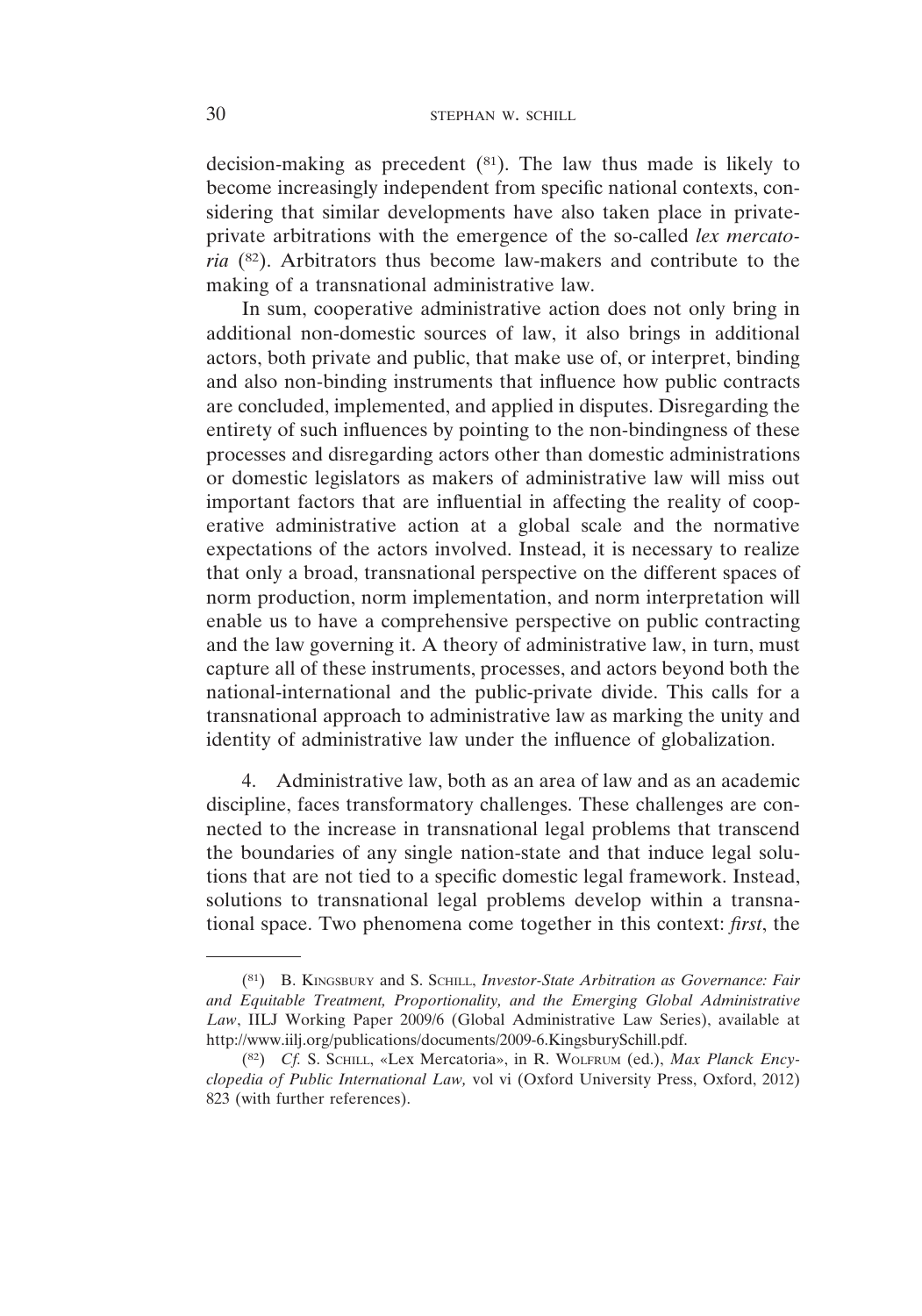decision-making as precedent  $(81)$ . The law thus made is likely to become increasingly independent from specific national contexts, considering that similar developments have also taken place in privateprivate arbitrations with the emergence of the so-called *lex mercatoria* (82). Arbitrators thus become law-makers and contribute to the making of a transnational administrative law.

In sum, cooperative administrative action does not only bring in additional non-domestic sources of law, it also brings in additional actors, both private and public, that make use of, or interpret, binding and also non-binding instruments that influence how public contracts are concluded, implemented, and applied in disputes. Disregarding the entirety of such influences by pointing to the non-bindingness of these processes and disregarding actors other than domestic administrations or domestic legislators as makers of administrative law will miss out important factors that are influential in affecting the reality of cooperative administrative action at a global scale and the normative expectations of the actors involved. Instead, it is necessary to realize that only a broad, transnational perspective on the different spaces of norm production, norm implementation, and norm interpretation will enable us to have a comprehensive perspective on public contracting and the law governing it. A theory of administrative law, in turn, must capture all of these instruments, processes, and actors beyond both the national-international and the public-private divide. This calls for a transnational approach to administrative law as marking the unity and identity of administrative law under the influence of globalization.

4. Administrative law, both as an area of law and as an academic discipline, faces transformatory challenges. These challenges are connected to the increase in transnational legal problems that transcend the boundaries of any single nation-state and that induce legal solutions that are not tied to a specific domestic legal framework. Instead, solutions to transnational legal problems develop within a transnational space. Two phenomena come together in this context: *first*, the

<sup>(81)</sup> B. KINGSBURY and S. SCHILL, *Investor-State Arbitration as Governance: Fair and Equitable Treatment, Proportionality, and the Emerging Global Administrative Law*, IILJ Working Paper 2009/6 (Global Administrative Law Series), available at http://www.iilj.org/publications/documents/2009-6.KingsburySchill.pdf.

<sup>(82)</sup> *Cf.* S. SCHILL, «Lex Mercatoria», in R. WOLFRUM (ed.), *Max Planck Encyclopedia of Public International Law,* vol vi (Oxford University Press, Oxford, 2012) 823 (with further references).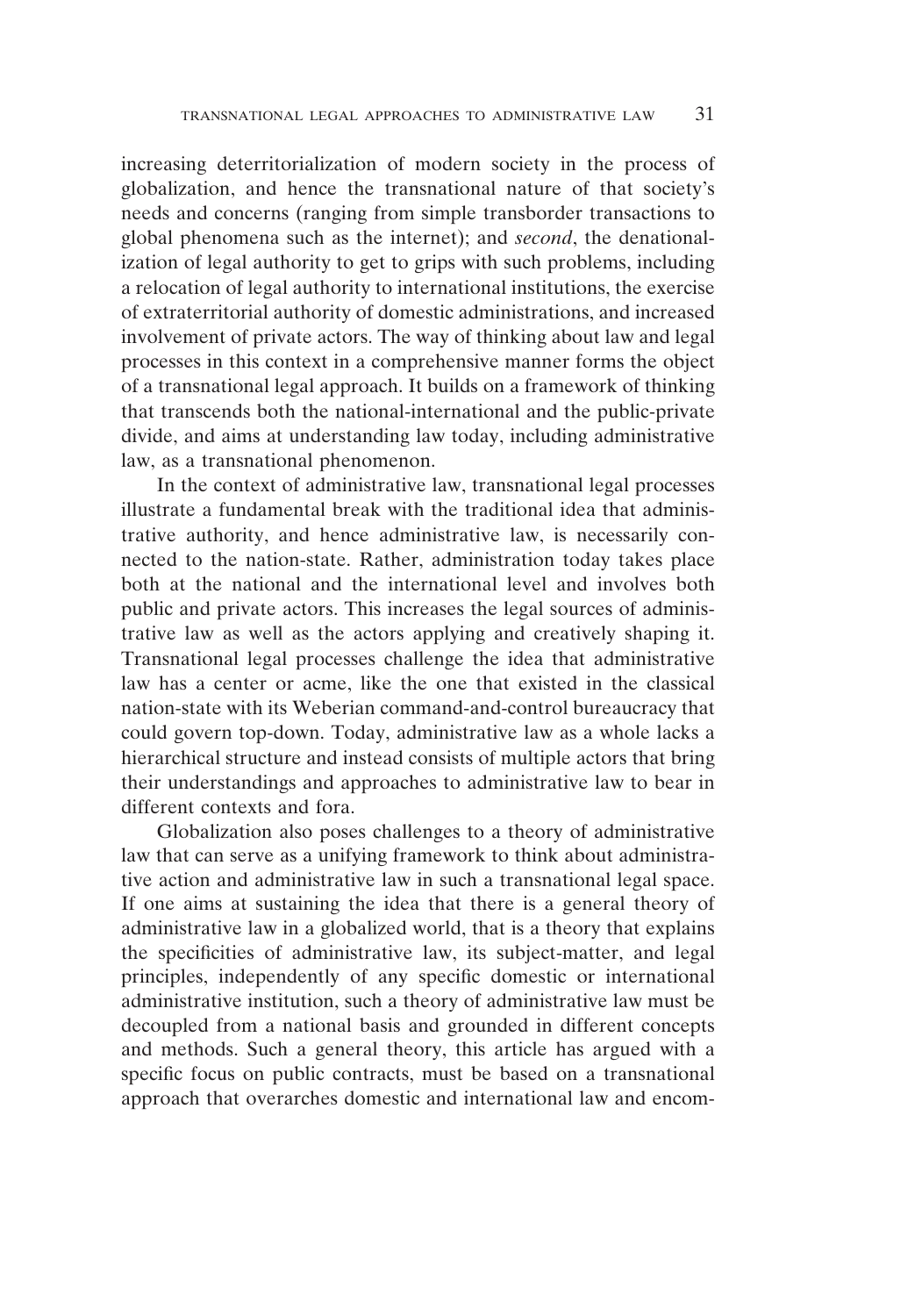increasing deterritorialization of modern society in the process of globalization, and hence the transnational nature of that society's needs and concerns (ranging from simple transborder transactions to global phenomena such as the internet); and *second*, the denationalization of legal authority to get to grips with such problems, including a relocation of legal authority to international institutions, the exercise of extraterritorial authority of domestic administrations, and increased involvement of private actors. The way of thinking about law and legal processes in this context in a comprehensive manner forms the object of a transnational legal approach. It builds on a framework of thinking that transcends both the national-international and the public-private divide, and aims at understanding law today, including administrative law, as a transnational phenomenon.

In the context of administrative law, transnational legal processes illustrate a fundamental break with the traditional idea that administrative authority, and hence administrative law, is necessarily connected to the nation-state. Rather, administration today takes place both at the national and the international level and involves both public and private actors. This increases the legal sources of administrative law as well as the actors applying and creatively shaping it. Transnational legal processes challenge the idea that administrative law has a center or acme, like the one that existed in the classical nation-state with its Weberian command-and-control bureaucracy that could govern top-down. Today, administrative law as a whole lacks a hierarchical structure and instead consists of multiple actors that bring their understandings and approaches to administrative law to bear in different contexts and fora.

Globalization also poses challenges to a theory of administrative law that can serve as a unifying framework to think about administrative action and administrative law in such a transnational legal space. If one aims at sustaining the idea that there is a general theory of administrative law in a globalized world, that is a theory that explains the specificities of administrative law, its subject-matter, and legal principles, independently of any specific domestic or international administrative institution, such a theory of administrative law must be decoupled from a national basis and grounded in different concepts and methods. Such a general theory, this article has argued with a specific focus on public contracts, must be based on a transnational approach that overarches domestic and international law and encom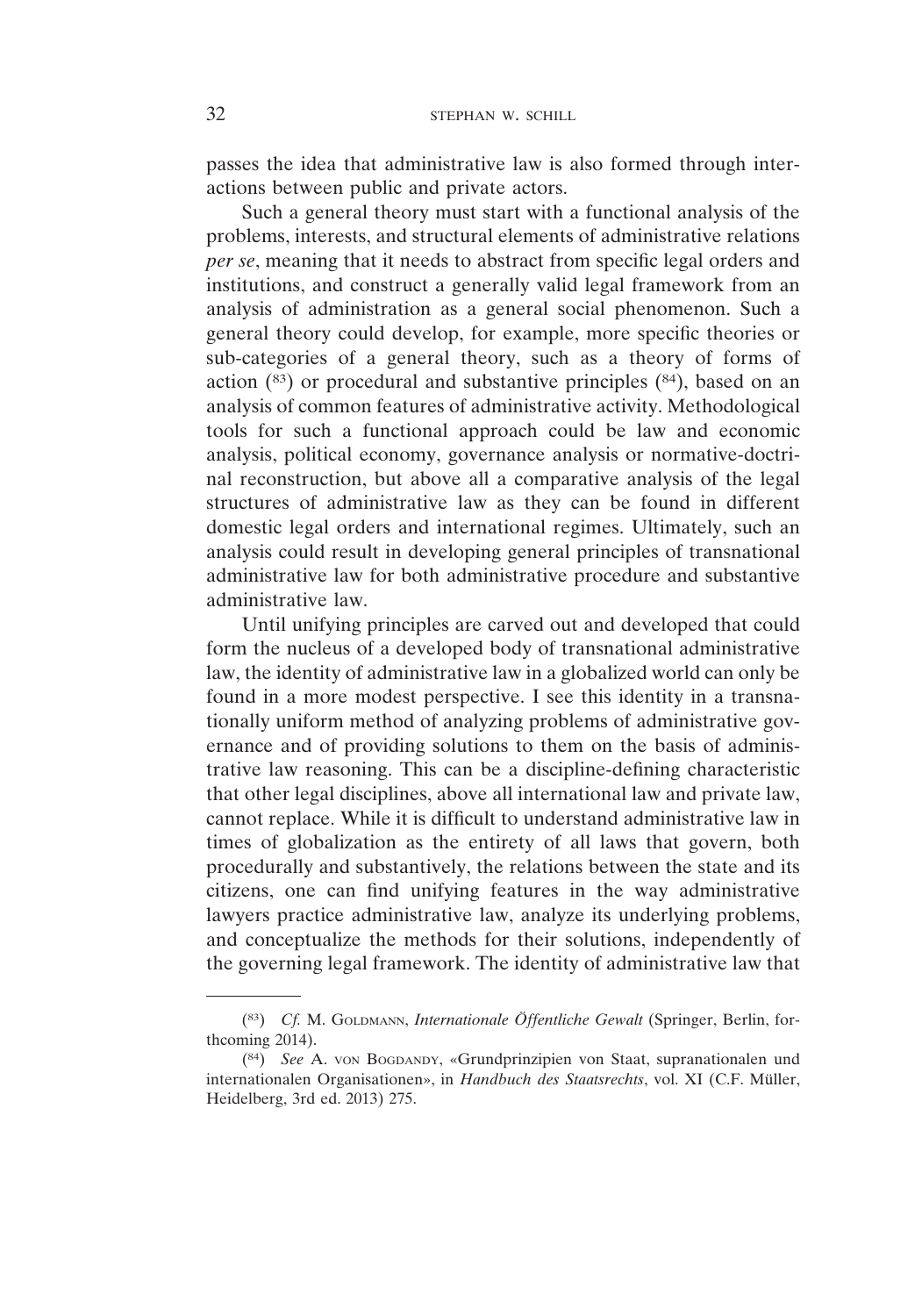passes the idea that administrative law is also formed through interactions between public and private actors.

Such a general theory must start with a functional analysis of the problems, interests, and structural elements of administrative relations *per se*, meaning that it needs to abstract from specific legal orders and institutions, and construct a generally valid legal framework from an analysis of administration as a general social phenomenon. Such a general theory could develop, for example, more specific theories or sub-categories of a general theory, such as a theory of forms of action (83) or procedural and substantive principles (84), based on an analysis of common features of administrative activity. Methodological tools for such a functional approach could be law and economic analysis, political economy, governance analysis or normative-doctrinal reconstruction, but above all a comparative analysis of the legal structures of administrative law as they can be found in different domestic legal orders and international regimes. Ultimately, such an analysis could result in developing general principles of transnational administrative law for both administrative procedure and substantive administrative law.

Until unifying principles are carved out and developed that could form the nucleus of a developed body of transnational administrative law, the identity of administrative law in a globalized world can only be found in a more modest perspective. I see this identity in a transnationally uniform method of analyzing problems of administrative governance and of providing solutions to them on the basis of administrative law reasoning. This can be a discipline-defining characteristic that other legal disciplines, above all international law and private law, cannot replace. While it is difficult to understand administrative law in times of globalization as the entirety of all laws that govern, both procedurally and substantively, the relations between the state and its citizens, one can find unifying features in the way administrative lawyers practice administrative law, analyze its underlying problems, and conceptualize the methods for their solutions, independently of the governing legal framework. The identity of administrative law that

<sup>(83)</sup> *Cf.* M. GOLDMANN, *Internationale Öffentliche Gewalt* (Springer, Berlin, forthcoming 2014).

<sup>(84)</sup> *See* A. VON BOGDANDY, «Grundprinzipien von Staat, supranationalen und internationalen Organisationen», in *Handbuch des Staatsrechts*, vol. XI (C.F. Müller, Heidelberg, 3rd ed. 2013) 275.